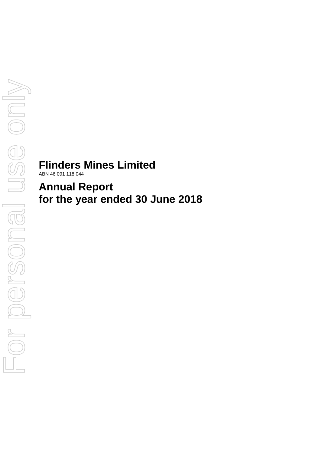# **Flinders Mines Limited**

ABN 46 091 118 044

**Annual Report for the year ended 30 June 2018**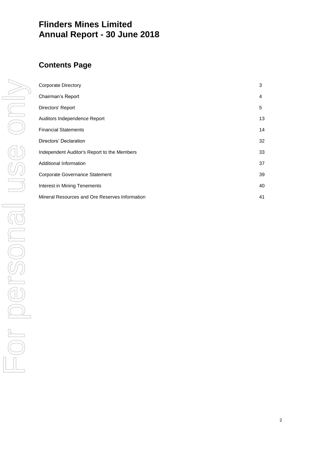# **Flinders Mines Limited Annual Report - 30 June 2018**

# **Contents Page**

| Corporate Directory                            | 3  |
|------------------------------------------------|----|
| Chairman's Report                              | 4  |
| Directors' Report                              | 5  |
| Auditors Independence Report                   | 13 |
| <b>Financial Statements</b>                    | 14 |
| Directors' Declaration                         | 32 |
| Independent Auditor's Report to the Members    | 33 |
| Additional Information                         | 37 |
| Corporate Governance Statement                 | 39 |
| Interest in Mining Tenements                   | 40 |
| Mineral Resources and Ore Reserves Information | 41 |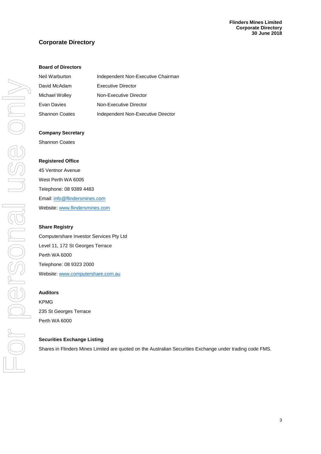# **Corporate Directory**

# **Board of Directors**

| Neil Warburton        | Independent Non-Executive Chairman |
|-----------------------|------------------------------------|
| David McAdam          | Executive Director                 |
| Michael Wolley        | Non-Executive Director             |
| Evan Davies           | Non-Executive Director             |
| <b>Shannon Coates</b> | Independent Non-Executive Director |

#### **Company Secretary**

Shannon Coates

#### **Registered Office**

45 Ventnor Avenue West Perth WA 6005 Telephone: 08 9389 4483 Email[: info@flindersmines.com](mailto:info@flindersmines.com) Website[: www.flindersmines.com](http://www.flindersmines.com/)

#### **Share Registry**

Computershare Investor Services Pty Ltd Level 11, 172 St Georges Terrace Perth WA 6000 Telephone: 08 9323 2000 Website[: www.computershare.com.au](http://www.computershare.com.au/)

#### **Auditors**

KPMG 235 St Georges Terrace Perth WA 6000

#### **Securities Exchange Listing**

Shares in Flinders Mines Limited are quoted on the Australian Securities Exchange under trading code FMS.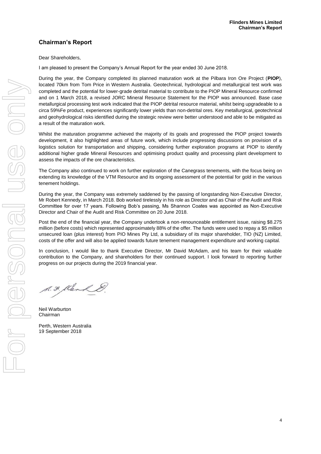# **Chairman's Report**

### Dear Shareholders,

I am pleased to present the Company's Annual Report for the year ended 30 June 2018.

During the year, the Company completed its planned maturation work at the Pilbara Iron Ore Project (**PIOP**), located 70km from Tom Price in Western Australia. Geotechnical, hydrological and metallurgical test work was completed and the potential for lower-grade detrital material to contribute to the PIOP Mineral Resource confirmed and on 1 March 2018, a revised JORC Mineral Resource Statement for the PIOP was announced. Base case metallurgical processing test work indicated that the PIOP detrital resource material, whilst being upgradeable to a circa 59%Fe product, experiences significantly lower yields than non-detrital ores. Key metallurgical, geotechnical and geohydrological risks identified during the strategic review were better understood and able to be mitigated as a result of the maturation work.

Whilst the maturation programme achieved the majority of its goals and progressed the PIOP project towards development, it also highlighted areas of future work, which include progressing discussions on provision of a logistics solution for transportation and shipping, considering further exploration programs at PIOP to identify additional higher grade Mineral Resources and optimising product quality and processing plant development to assess the impacts of the ore characteristics.

The Company also continued to work on further exploration of the Canegrass tenements, with the focus being on extending its knowledge of the VTM Resource and its ongoing assessment of the potential for gold in the various tenement holdings.

During the year, the Company was extremely saddened by the passing of longstanding Non-Executive Director, Mr Robert Kennedy, in March 2018. Bob worked tirelessly in his role as Director and as Chair of the Audit and Risk Committee for over 17 years. Following Bob's passing, Ms Shannon Coates was appointed as Non-Executive Director and Chair of the Audit and Risk Committee on 20 June 2018.

Post the end of the financial year, the Company undertook a non-renounceable entitlement issue, raising \$8.275 million (before costs) which represented approximately 88% of the offer. The funds were used to repay a \$5 million unsecured loan (plus interest) from PIO Mines Pty Ltd, a subsidiary of its major shareholder, TIO (NZ) Limited, costs of the offer and will also be applied towards future tenement management expenditure and working capital.

In conclusion, I would like to thank Executive Director, Mr David McAdam, and his team for their valuable contribution to the Company, and shareholders for their continued support. I look forward to reporting further progress on our projects during the 2019 financial year.

A.F. Klenk &.

Neil Warburton Chairman

Perth, Western Australia 19 September 2018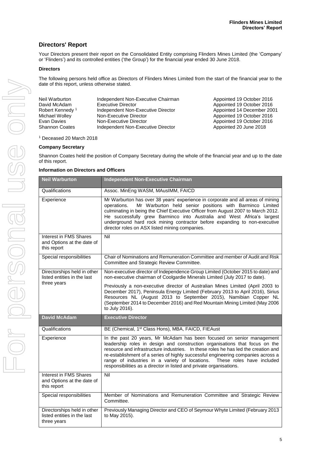# **Directors' Report**

Your Directors present their report on the Consolidated Entity comprising Flinders Mines Limited (the 'Company' or 'Flinders') and its controlled entities ('the Group') for the financial year ended 30 June 2018.

## **Directors**

The following persons held office as Directors of Flinders Mines Limited from the start of the financial year to the date of this report, unless otherwise stated.

| Neil Warburton              | Independent Non-Executive Chairman | Appointed 19 October 2016 |
|-----------------------------|------------------------------------|---------------------------|
| David McAdam                | Executive Director                 | Appointed 19 October 2016 |
| Robert Kennedy <sup>1</sup> | Independent Non-Executive Director | Appointed 14 December 20  |
| Michael Wolley              | Non-Executive Director             | Appointed 19 October 2016 |
| Evan Davies                 | Non-Executive Director             | Appointed 19 October 2016 |
| <b>Shannon Coates</b>       | Independent Non-Executive Director | Appointed 20 June 2018    |

Appointed 14 December 2001 Appointed 20 June 2018

<sup>1</sup> Deceased 20 March 2018

## **Company Secretary**

Shannon Coates held the position of Company Secretary during the whole of the financial year and up to the date of this report.

#### **Information on Directors and Officers**

| <b>Neil Warburton</b>                                                      | <b>Independent Non-Executive Chairman</b>                                                                                                                                                                                                                                                                                                                                                                                                                                         |
|----------------------------------------------------------------------------|-----------------------------------------------------------------------------------------------------------------------------------------------------------------------------------------------------------------------------------------------------------------------------------------------------------------------------------------------------------------------------------------------------------------------------------------------------------------------------------|
| Qualifications                                                             | Assoc. MinEng WASM, MAusIMM, FAICD                                                                                                                                                                                                                                                                                                                                                                                                                                                |
| Experience                                                                 | Mr Warburton has over 38 years' experience in corporate and all areas of mining<br>Mr Warburton held senior positions with Barminco Limited<br>operations.<br>culminating in being the Chief Executive Officer from August 2007 to March 2012.<br>He successfully grew Barminco into Australia and West Africa's largest<br>underground hard rock mining contractor before expanding to non-executive<br>director roles on ASX listed mining companies.                           |
| <b>Interest in FMS Shares</b><br>and Options at the date of<br>this report | Nil                                                                                                                                                                                                                                                                                                                                                                                                                                                                               |
| Special responsibilities                                                   | Chair of Nominations and Remuneration Committee and member of Audit and Risk<br>Committee and Strategic Review Committee.                                                                                                                                                                                                                                                                                                                                                         |
| Directorships held in other<br>listed entities in the last                 | Non-executive director of Independence Group Limited (October 2015 to date) and<br>non-executive chairman of Coolgardie Minerals Limited (July 2017 to date).                                                                                                                                                                                                                                                                                                                     |
| three years                                                                | Previously a non-executive director of Australian Mines Limited (April 2003 to<br>December 2017), Peninsula Energy Limited (February 2013 to April 2016), Sirius<br>Resources NL (August 2013 to September 2015), Namibian Copper NL<br>(September 2014 to December 2016) and Red Mountain Mining Limited (May 2006<br>to July 2016).                                                                                                                                             |
| <b>David McAdam</b>                                                        | <b>Executive Director</b>                                                                                                                                                                                                                                                                                                                                                                                                                                                         |
| Qualifications                                                             | BE (Chemical, 1 <sup>st</sup> Class Hons), MBA, FAICD, FIEAust                                                                                                                                                                                                                                                                                                                                                                                                                    |
| Experience                                                                 | In the past 20 years, Mr McAdam has been focused on senior management<br>leadership roles in design and construction organisations that focus on the<br>resource and infrastructure industries. In these roles he has led the creation and<br>re-establishment of a series of highly successful engineering companies across a<br>range of industries in a variety of locations. These roles have included<br>responsibilities as a director in listed and private organisations. |
| Interest in FMS Shares<br>and Options at the date of<br>this report        | Nil                                                                                                                                                                                                                                                                                                                                                                                                                                                                               |
| Special responsibilities                                                   | Member of Nominations and Remuneration Committee and Strategic Review<br>Committee.                                                                                                                                                                                                                                                                                                                                                                                               |
| Directorships held in other<br>listed entities in the last<br>three years  | Previously Managing Director and CEO of Seymour Whyte Limited (February 2013<br>to May 2015).                                                                                                                                                                                                                                                                                                                                                                                     |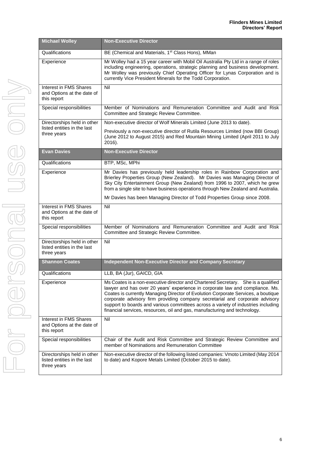| <b>Michael Wolley</b>                                                      | <b>Non-Executive Director</b>                                                                                                                                                                                                                                                                                                                                                                                                                                                                             |
|----------------------------------------------------------------------------|-----------------------------------------------------------------------------------------------------------------------------------------------------------------------------------------------------------------------------------------------------------------------------------------------------------------------------------------------------------------------------------------------------------------------------------------------------------------------------------------------------------|
| Qualifications                                                             | BE (Chemical and Materials, 1 <sup>st</sup> Class Hons), MMan                                                                                                                                                                                                                                                                                                                                                                                                                                             |
| Experience                                                                 | Mr Wolley had a 15 year career with Mobil Oil Australia Pty Ltd in a range of roles<br>including engineering, operations, strategic planning and business development.<br>Mr Wolley was previously Chief Operating Officer for Lynas Corporation and is<br>currently Vice President Minerals for the Todd Corporation.                                                                                                                                                                                    |
| Interest in FMS Shares<br>and Options at the date of<br>this report        | Nil                                                                                                                                                                                                                                                                                                                                                                                                                                                                                                       |
| Special responsibilities                                                   | Member of Nominations and Remuneration Committee and Audit and Risk<br>Committee and Strategic Review Committee.                                                                                                                                                                                                                                                                                                                                                                                          |
| Directorships held in other<br>listed entities in the last                 | Non-executive director of Wolf Minerals Limited (June 2013 to date).                                                                                                                                                                                                                                                                                                                                                                                                                                      |
| three years                                                                | Previously a non-executive director of Rutila Resources Limited (now BBI Group)<br>(June 2012 to August 2015) and Red Mountain Mining Limited (April 2011 to July<br>2016).                                                                                                                                                                                                                                                                                                                               |
| <b>Evan Davies</b>                                                         | <b>Non-Executive Director</b>                                                                                                                                                                                                                                                                                                                                                                                                                                                                             |
| Qualifications                                                             | BTP, MSc, MPhi                                                                                                                                                                                                                                                                                                                                                                                                                                                                                            |
| Experience                                                                 | Mr Davies has previously held leadership roles in Rainbow Corporation and<br>Brierley Properties Group (New Zealand). Mr Davies was Managing Director of<br>Sky City Entertainment Group (New Zealand) from 1996 to 2007, which he grew<br>from a single site to have business operations through New Zealand and Australia.                                                                                                                                                                              |
|                                                                            | Mr Davies has been Managing Director of Todd Properties Group since 2008.                                                                                                                                                                                                                                                                                                                                                                                                                                 |
| <b>Interest in FMS Shares</b><br>and Options at the date of<br>this report | Nil                                                                                                                                                                                                                                                                                                                                                                                                                                                                                                       |
| Special responsibilities                                                   | Member of Nominations and Remuneration Committee and Audit and Risk<br>Committee and Strategic Review Committee.                                                                                                                                                                                                                                                                                                                                                                                          |
| Directorships held in other<br>listed entities in the last<br>three years  | Nil                                                                                                                                                                                                                                                                                                                                                                                                                                                                                                       |
| <b>Shannon Coates</b>                                                      | <b>Independent Non-Executive Director and Company Secretary</b>                                                                                                                                                                                                                                                                                                                                                                                                                                           |
| Qualifications                                                             | LLB, BA (Jur), GAICD, GIA                                                                                                                                                                                                                                                                                                                                                                                                                                                                                 |
| Experience                                                                 | Ms Coates is a non-executive director and Chartered Secretary. She is a qualified<br>lawyer and has over 20 years' experience in corporate law and compliance. Ms.<br>Coates is currently Managing Director of Evolution Corporate Services, a boutique<br>corporate advisory firm providing company secretarial and corporate advisory<br>support to boards and various committees across a variety of industries including<br>financial services, resources, oil and gas, manufacturing and technology. |
| Interest in FMS Shares<br>and Options at the date of<br>this report        | Nil                                                                                                                                                                                                                                                                                                                                                                                                                                                                                                       |
| Special responsibilities                                                   | Chair of the Audit and Risk Committee and Strategic Review Committee and<br>member of Nominations and Remuneration Committee                                                                                                                                                                                                                                                                                                                                                                              |
| Directorships held in other<br>listed entities in the last<br>three years  | Non-executive director of the following listed companies: Vmoto Limited (May 2014<br>to date) and Kopore Metals Limited (October 2015 to date).                                                                                                                                                                                                                                                                                                                                                           |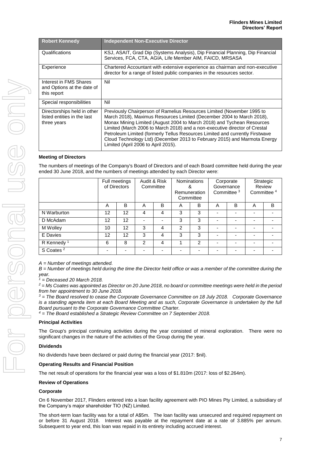| <b>Robert Kennedy</b>                                                     | <b>Independent Non-Executive Director</b>                                                                                                                                                                                                                                                                                                                                                                                                                                                                   |
|---------------------------------------------------------------------------|-------------------------------------------------------------------------------------------------------------------------------------------------------------------------------------------------------------------------------------------------------------------------------------------------------------------------------------------------------------------------------------------------------------------------------------------------------------------------------------------------------------|
| Qualifications                                                            | KSJ, ASAIT, Grad Dip (Systems Analysis), Dip Financial Planning, Dip Financial<br>Services, FCA, CTA, AGIA, Life Member AIM, FAICD, MRSASA                                                                                                                                                                                                                                                                                                                                                                  |
| Experience                                                                | Chartered Accountant with extensive experience as chairman and non-executive<br>director for a range of listed public companies in the resources sector.                                                                                                                                                                                                                                                                                                                                                    |
| Interest in FMS Shares<br>and Options at the date of<br>this report       | Nil                                                                                                                                                                                                                                                                                                                                                                                                                                                                                                         |
| Special responsibilities                                                  | Nil                                                                                                                                                                                                                                                                                                                                                                                                                                                                                                         |
| Directorships held in other<br>listed entities in the last<br>three years | Previously Chairperson of Ramelius Resources Limited (November 1995 to<br>March 2018), Maximus Resources Limited (December 2004 to March 2018),<br>Monax Mining Limited (August 2004 to March 2018) and Tychean Resources<br>Limited (March 2006 to March 2018) and a non-executive director of Crestal<br>Petroleum Limited (formerly Tellus Resources Limited and currently Firstwave<br>Cloud Technology Ltd) (December 2013 to February 2015) and Marmota Energy<br>Limited (April 2006 to April 2015). |

# **Meeting of Directors**

The numbers of meetings of the Company's Board of Directors and of each Board committee held during the year ended 30 June 2018, and the numbers of meetings attended by each Director were:

|                        |    | Full meetings<br>of Directors |               | Audit & Risk<br>Committee | &<br>Remuneration | <b>Nominations</b><br>Committee |   | Corporate<br>Governance<br>Committee <sup>3</sup> | Strategic<br>Committee <sup>4</sup> | Review |
|------------------------|----|-------------------------------|---------------|---------------------------|-------------------|---------------------------------|---|---------------------------------------------------|-------------------------------------|--------|
|                        | A  | B                             | A             | B                         | A                 | B                               | Α | B                                                 | A                                   | B      |
| N Warburton            | 12 | 12                            | 4             | 4                         | 3                 | 3                               |   | $\overline{\phantom{0}}$                          |                                     |        |
| D McAdam               | 12 | 12                            |               |                           | 3                 | 3                               |   | ۰                                                 | $\overline{\phantom{0}}$            |        |
| M Wolley               | 10 | 12                            | 3             | $\overline{4}$            | $\mathfrak{p}$    | 3                               |   | ۰                                                 |                                     |        |
| E Davies               | 12 | 12                            | 3             | 4                         | 3                 | 3                               |   | ۰                                                 |                                     |        |
| R Kennedy <sup>1</sup> | 6  | 8                             | $\mathcal{P}$ | 4                         |                   | 2                               |   | $\overline{\phantom{0}}$                          |                                     |        |
| S Coates <sup>2</sup>  |    | -                             |               |                           |                   |                                 |   | $\overline{\phantom{0}}$                          |                                     |        |

*A = Number of meetings attended.*

*B = Number of meetings held during the time the Director held office or was a member of the committee during the year.*

*<sup>1</sup> = Deceased 20 March 2018.*

*<sup>2</sup> = Ms Coates was appointed as Director on 20 June 2018, no board or committee meetings were held in the period from her appointment to 30 June 2018.*

*<sup>3</sup> = The Board resolved to cease the Corporate Governance Committee on 18 July 2018. Corporate Governance is a standing agenda item at each Board Meeting and as such, Corporate Governance is undertaken by the full Board pursuant to the Corporate Governance Committee Charter.*

*<sup>4</sup> = The Board established a Strategic Review Committee on 7 September 2018.*

#### **Principal Activities**

The Group's principal continuing activities during the year consisted of mineral exploration. There were no significant changes in the nature of the activities of the Group during the year.

#### **Dividends**

No dividends have been declared or paid during the financial year (2017: \$nil).

#### **Operating Results and Financial Position**

The net result of operations for the financial year was a loss of \$1.810m (2017: loss of \$2.264m).

#### **Review of Operations**

#### **Corporate**

On 6 November 2017, Flinders entered into a loan facility agreement with PIO Mines Pty Limited, a subsidiary of the Company's major shareholder TIO (NZ) Limited.

The short-term loan facility was for a total of A\$5m. The loan facility was unsecured and required repayment on or before 31 August 2018. Interest was payable at the repayment date at a rate of 3.885% per annum. Subsequent to year end, this loan was repaid in its entirety including accrued interest.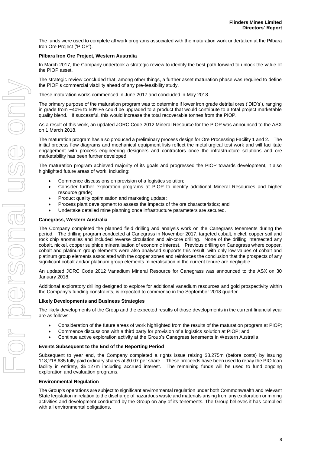The funds were used to complete all work programs associated with the maturation work undertaken at the Pilbara Iron Ore Project ('PIOP').

#### **Pilbara Iron Ore Project, Western Australia**

In March 2017, the Company undertook a strategic review to identify the best path forward to unlock the value of the PIOP asset.

The strategic review concluded that, among other things, a further asset maturation phase was required to define the PIOP's commercial viability ahead of any pre-feasibility study.

These maturation works commenced in June 2017 and concluded in May 2018.

The primary purpose of the maturation program was to determine if lower iron grade detrital ores ('DID's'), ranging in grade from ~40% to 50%Fe could be upgraded to a product that would contribute to a total project marketable quality blend. If successful, this would increase the total recoverable tonnes from the PIOP.

As a result of this work, an updated JORC Code 2012 Mineral Resource for the PIOP was announced to the ASX on 1 March 2018.

The maturation program has also produced a preliminary process design for Ore Processing Facility 1 and 2. The initial process flow diagrams and mechanical equipment lists reflect the metallurgical test work and will facilitate engagement with process engineering designers and contractors once the infrastructure solutions and ore marketability has been further developed.

The maturation program achieved majority of its goals and progressed the PIOP towards development, it also highlighted future areas of work, including:

- Commence discussions on provision of a logistics solution;
- Consider further exploration programs at PIOP to identify additional Mineral Resources and higher resource grade;
- Product quality optimisation and marketing update;
- Process plant development to assess the impacts of the ore characteristics; and
- Undertake detailed mine planning once infrastructure parameters are secured.

#### **Canegrass, Western Australia**

The Company completed the planned field drilling and analysis work on the Canegrass tenements during the period. The drilling program conducted at Canegrass in November 2017, targeted cobalt, nickel, copper soil and rock chip anomalies and included reverse circulation and air-core drilling. None of the drilling intersected any cobalt, nickel, copper sulphide mineralisation of economic interest. Previous drilling on Canegrass where copper, cobalt and platinum group elements were also analysed supports this result, with only low values of cobalt and platinum group elements associated with the copper zones and reinforces the conclusion that the prospects of any significant cobalt and/or platinum group elements mineralisation in the current tenure are negligible.

An updated JORC Code 2012 Vanadium Mineral Resource for Canegrass was announced to the ASX on 30 January 2018.

Additional exploratory drilling designed to explore for additional vanadium resources and gold prospectivity within the Company's funding constraints, is expected to commence in the September 2018 quarter.

#### **Likely Developments and Business Strategies**

The likely developments of the Group and the expected results of those developments in the current financial year are as follows:

- Consideration of the future areas of work highlighted from the results of the maturation program at PIOP;
- Commence discussions with a third party for provision of a logistics solution at PIOP; and
- Continue active exploration activity at the Group's Canegrass tenements in Western Australia.

#### **Events Subsequent to the End of the Reporting Period**

Subsequent to year end, the Company completed a rights issue raising \$8.275m (before costs) by issuing 118,218,635 fully paid ordinary shares at \$0.07 per share. These proceeds have been used to repay the PIO loan facility in entirety, \$5.127m including accrued interest. The remaining funds will be used to fund ongoing exploration and evaluation programs.

#### **Environmental Regulation**

The Group's operations are subject to significant environmental regulation under both Commonwealth and relevant State legislation in relation to the discharge of hazardous waste and materials arising from any exploration or mining activities and development conducted by the Group on any of its tenements. The Group believes it has complied with all environmental obligations.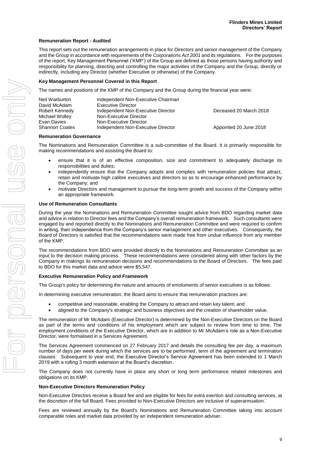# **Remuneration Report - Audited**

This report sets out the remuneration arrangements in place for Directors and senior management of the Company and the Group in accordance with requirements of the *Corporations Act 2001* and its regulations. For the purposes of the report, Key Management Personnel ('KMP') of the Group are defined as those persons having authority and responsibility for planning, directing and controlling the major activities of the Company and the Group, directly or indirectly, including any Director (whether Executive or otherwise) of the Company.

#### **Key Management Personnel Covered in this Report**

The names and positions of the KMP of the Company and the Group during the financial year were:

| Neil Warburton<br>David McAdam | Independent Non-Executive Chairman<br>Executive Director |                        |
|--------------------------------|----------------------------------------------------------|------------------------|
| Robert Kennedy                 | Independent Non-Executive Director                       | Deceased 20 March 2018 |
| Michael Wolley                 | Non-Executive Director                                   |                        |
| Evan Davies                    | Non-Executive Director                                   |                        |
| <b>Shannon Coates</b>          | Independent Non-Executive Director                       | Appointed 20 June 2018 |

#### **Remuneration Governance**

The Nominations and Remuneration Committee is a sub-committee of the Board. It is primarily responsible for making recommendations and assisting the Board to:

- ensure that it is of an effective composition, size and commitment to adequately discharge its responsibilities and duties;
- independently ensure that the Company adopts and complies with remuneration policies that attract, retain and motivate high calibre executives and directors so as to encourage enhanced performance by the Company; and
- motivate Directors and management to pursue the long-term growth and success of the Company within an appropriate framework.

#### **Use of Remuneration Consultants**

During the year the Nominations and Remuneration Committee sought advice from BDO regarding market data and advice in relation to Director fees and the Company's overall remuneration framework. Such consultants were engaged by and reported directly to the Nominations and Remuneration Committee and were required to confirm in writing, their independence from the Company's senior management and other executives. Consequently, the Board of Directors is satisfied that the recommendations were made free from undue influence from any member of the KMP.

The recommendations from BDO were provided directly to the Nominations and Remuneration Committee as an input to the decision making process. These recommendations were considered along with other factors by the Company in makings its remuneration decisions and recommendations to the Board of Directors. The fees paid to BDO for this market data and advice were \$5,547.

#### **Executive Remuneration Policy and Framework**

The Group's policy for determining the nature and amounts of emoluments of senior executives is as follows:

In determining executive remuneration, the Board aims to ensure that remuneration practices are:

- competitive and reasonable, enabling the Company to attract and retain key talent; and
- aligned to the Company's strategic and business objectives and the creation of shareholder value.

The remuneration of Mr McAdam (Executive Director) is determined by the Non-Executive Directors on the Board as part of the terms and conditions of his employment which are subject to review from time to time. The employment conditions of the Executive Director, which are in addition to Mr McAdam's role as a Non-Executive Director, were formalised in a Services Agreement.

The Services Agreement commenced on 27 February 2017 and details the consulting fee per day, a maximum number of days per week during which the services are to be performed, term of the agreement and termination clauses. Subsequent to year end, the Executive Director's Service Agreement has been extended to 1 March 2019 with a rolling 3 month extension at the Board's discretion.

The Company does not currently have in place any short or long term performance related milestones and obligations on its KMP.

#### **Non-Executive Directors Remuneration Policy**

Non-Executive Directors receive a Board fee and are eligible for fees for extra exertion and consulting services, at the discretion of the full Board. Fees provided to Non-Executive Directors are inclusive of superannuation.

Fees are reviewed annually by the Board's Nominations and Remuneration Committee taking into account comparable roles and market data provided by an independent remuneration adviser.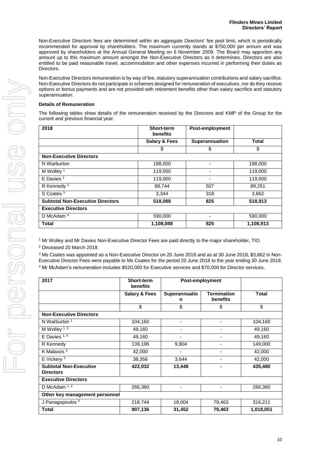Non-Executive Directors fees are determined within an aggregate Directors' fee pool limit, which is periodically recommended for approval by shareholders. The maximum currently stands at \$750,000 per annum and was approved by shareholders at the Annual General Meeting on 6 November 2009. The Board may apportion any amount up to this maximum amount amongst the Non-Executive Directors as it determines. Directors are also entitled to be paid reasonable travel, accommodation and other expenses incurred in performing their duties as Directors.

Non-Executive Directors remuneration is by way of fee, statutory superannuation contributions and salary sacrifice. Non-Executive Directors do not participate in schemes designed for remuneration of executives, nor do they receive options or bonus payments and are not provided with retirement benefits other than salary sacrifice and statutory superannuation.

## **Details of Remuneration**

The following tables show details of the remuneration received by the Directors and KMP of the Group for the current and previous financial year.

| 2018                                    | <b>Short-term</b><br>benefits | Post-employment |              |
|-----------------------------------------|-------------------------------|-----------------|--------------|
|                                         | <b>Salary &amp; Fees</b>      | Superannuation  | <b>Total</b> |
|                                         | \$                            | \$              | \$           |
| <b>Non-Executive Directors</b>          |                               |                 |              |
| N Warburton                             | 188,000                       |                 | 188,000      |
| M Wolley <sup>1</sup>                   | 119,000                       |                 | 119,000      |
| $E$ Davies <sup>1</sup>                 | 119,000                       | ۰               | 119,000      |
| R Kennedy <sup>2</sup>                  | 88,744                        | 507             | 89,251       |
| S Coates <sup>3</sup>                   | 3,344                         | 318             | 3,662        |
| <b>Subtotal Non-Executive Directors</b> | 518,088                       | 825             | 518,913      |
| <b>Executive Directors</b>              |                               |                 |              |
| D McAdam $4$                            | 590,000                       |                 | 590,000      |
| <b>Total</b>                            | 1,108,088                     | 825             | 1,108,913    |

<sup>1</sup> Mr Wolley and Mr Davies Non-Executive Director Fees are paid directly to the major shareholder, TIO.

<sup>2</sup> Deceased 20 March 2018.

<sup>3</sup> Ms Coates was appointed as a Non-Executive Director on 20 June 2018 and as at 30 June 2018, \$3,662 in Non-Executive Director Fees were payable to Ms Coates for the period 20 June 2018 to the year ending 30 June 2018. <sup>4</sup> Mr McAdam's remuneration includes \$520,000 for Executive services and \$70,000 for Director services.

| 2017                                              | Short-term<br>benefits   | Post-employment          |                                |              |
|---------------------------------------------------|--------------------------|--------------------------|--------------------------------|--------------|
|                                                   | <b>Salary &amp; Fees</b> | Superannuatio<br>n       | <b>Termination</b><br>benefits | <b>Total</b> |
|                                                   | \$                       | \$                       | \$                             | \$           |
| <b>Non-Executive Directors</b>                    |                          |                          |                                |              |
| N Warburton <sup>1</sup>                          | 104,160                  | $\overline{\phantom{0}}$ | ٠                              | 104,160      |
| M Wolley <sup>1, 3</sup>                          | 49,160                   |                          |                                | 49,160       |
| $E$ Davies $1, 3$                                 | 49,160                   |                          |                                | 49,160       |
| R Kennedy                                         | 139,196                  | 9,804                    |                                | 149,000      |
| K Malaxos <sup>2</sup>                            | 42,000                   |                          |                                | 42,000       |
| E Vickery <sup>2</sup>                            | 38,356                   | 3,644                    |                                | 42,000       |
| <b>Subtotal Non-Executive</b><br><b>Directors</b> | 422,032                  | 13,448                   |                                | 435,480      |
| <b>Executive Directors</b>                        |                          |                          |                                |              |
| D McAdam $1, 4$                                   | 266,360                  |                          |                                | 266,360      |
| Other key management personnel                    |                          |                          |                                |              |
| J Panagopoulos <sup>5</sup>                       | 218,744                  | 18,004                   | 79,463                         | 316,211      |
| <b>Total</b>                                      | 907,136                  | 31,452                   | 79,463                         | 1,018,051    |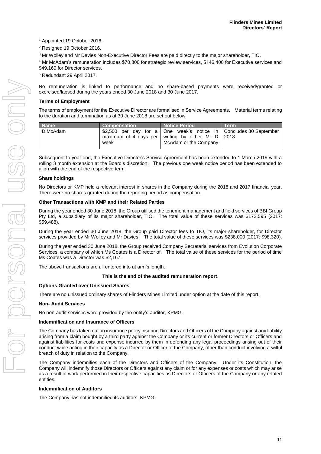<sup>1</sup> Appointed 19 October 2016.

<sup>2</sup> Resigned 19 October 2016.

<sup>3</sup> Mr Wolley and Mr Davies Non-Executive Director Fees are paid directly to the major shareholder, TIO.

<sup>4</sup> Mr McAdam's remuneration includes \$70,800 for strategic review services, \$146,400 for Executive services and \$49,160 for Director services.

<sup>5</sup> Redundant 29 April 2017.

No remuneration is linked to performance and no share-based payments were received/granted or exercised/lapsed during the years ended 30 June 2018 and 30 June 2017.

# **Terms of Employment**

The terms of employment for the Executive Director are formalised in Service Agreements. Material terms relating to the duration and termination as at 30 June 2018 are set out below;

| <b>Name</b> | <b>Compensation</b> | Notice Period                                                                                                                                         | <b>Term</b> |
|-------------|---------------------|-------------------------------------------------------------------------------------------------------------------------------------------------------|-------------|
| D McAdam    | week                | \$2,500 per day for a   One week's notice in   Concludes 30 September<br>maximum of 4 days per writing by either Mr $D$ 2018<br>McAdam or the Company |             |

Subsequent to year end, the Executive Director's Service Agreement has been extended to 1 March 2019 with a rolling 3 month extension at the Board's discretion. The previous one week notice period has been extended to align with the end of the respective term.

## **Share holdings**

No Directors or KMP held a relevant interest in shares in the Company during the 2018 and 2017 financial year. There were no shares granted during the reporting period as compensation.

#### **Other Transactions with KMP and their Related Parties**

During the year ended 30 June 2018, the Group utilised the tenement management and field services of BBI Group Pty Ltd, a subsidiary of its major shareholder, TIO. The total value of these services was \$172,595 (2017: \$59,488).

During the year ended 30 June 2018, the Group paid Director fees to TIO, its major shareholder, for Director services provided by Mr Wolley and Mr Davies. The total value of these services was \$238,000 (2017: \$98,320).

During the year ended 30 June 2018, the Group received Company Secretarial services from Evolution Corporate Services, a company of which Ms Coates is a Director of. The total value of these services for the period of time Ms Coates was a Director was \$2,167.

The above transactions are all entered into at arm's length.

#### **This is the end of the audited remuneration report**.

#### **Options Granted over Unissued Shares**

There are no unissued ordinary shares of Flinders Mines Limited under option at the date of this report.

#### **Non- Audit Services**

No non-audit services were provided by the entity's auditor, KPMG.

#### **Indemnification and Insurance of Officers**

The Company has taken out an insurance policy insuring Directors and Officers of the Company against any liability arising from a claim bought by a third party against the Company or its current or former Directors or Officers and against liabilities for costs and expense incurred by them in defending any legal proceedings arising out of their conduct while acting in their capacity as a Director or Officer of the Company, other than conduct involving a wilful breach of duty in relation to the Company.

The Company indemnifies each of the Directors and Officers of the Company. Under its Constitution, the Company will indemnify those Directors or Officers against any claim or for any expenses or costs which may arise as a result of work performed in their respective capacities as Directors or Officers of the Company or any related entities.

#### **Indemnification of Auditors**

The Company has not indemnified its auditors, KPMG.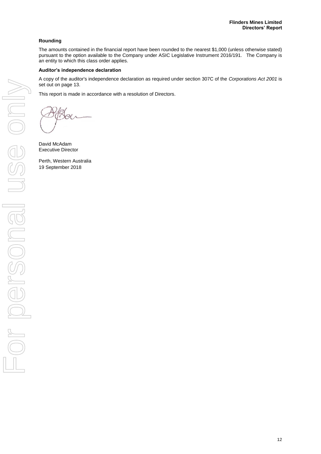# **Rounding**

The amounts contained in the financial report have been rounded to the nearest \$1,000 (unless otherwise stated) pursuant to the option available to the Company under ASIC Legislative Instrument 2016/191. The Company is an entity to which this class order applies.

# **Auditor's independence declaration**

A copy of the auditor's independence declaration as required under section 307C of the *Corporations Act 2001* is set out on page 13.

This report is made in accordance with a resolution of Directors.

David McAdam Executive Director

Perth, Western Australia 19 September 2018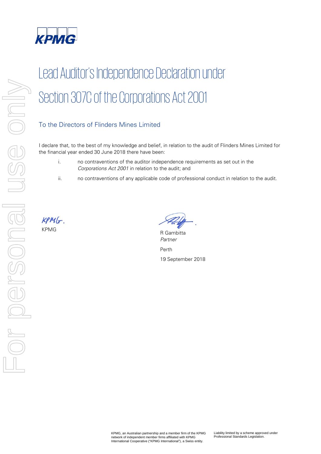

# Lead Auditor's Independence Declaration under Section 307C of the Corporations Act 2001

# To the Directors of Flinders Mines Limited

I declare that, to the best of my knowledge and belief, in relation to the audit of Flinders Mines Limited for the financial year ended 30 June 2018 there have been:

- i. no contraventions of the auditor independence requirements as set out in the Corporations Act 2001 in relation to the audit; and
- ii. no contraventions of any applicable code of professional conduct in relation to the audit.

 $KPM(r)$ 

KPMG R Gambitta Partner

Perth 19 September 2018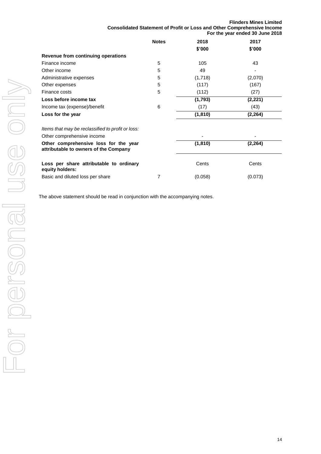| <b>Flinders Mines Limited</b>                                                  |  |
|--------------------------------------------------------------------------------|--|
| <b>Consolidated Statement of Profit or Loss and Other Comprehensive Income</b> |  |
| For the year ended 30 June 2018                                                |  |

|                                                                                | <b>Notes</b> | 2018     | 2017     |
|--------------------------------------------------------------------------------|--------------|----------|----------|
|                                                                                |              | \$'000   | \$'000   |
| Revenue from continuing operations                                             |              |          |          |
| Finance income                                                                 | 5            | 105      | 43       |
| Other income                                                                   | 5            | 49       |          |
| Administrative expenses                                                        | 5            | (1,718)  | (2,070)  |
| Other expenses                                                                 | 5            | (117)    | (167)    |
| Finance costs                                                                  | 5            | (112)    | (27)     |
| Loss before income tax                                                         |              | (1,793)  | (2, 221) |
| Income tax (expense)/benefit                                                   | 6            | (17)     | (43)     |
| Loss for the year                                                              |              | (1, 810) | (2, 264) |
| Items that may be reclassified to profit or loss:                              |              |          |          |
| Other comprehensive income                                                     |              |          |          |
| Other comprehensive loss for the year<br>attributable to owners of the Company |              | (1, 810) | (2, 264) |
| Loss per share attributable to ordinary<br>equity holders:                     |              | Cents    | Cents    |
| Basic and diluted loss per share                                               | 7            | (0.058)  | (0.073)  |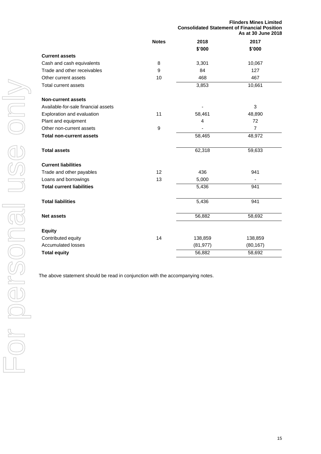|                                     |              |           | <b>Flinders Mines Limited</b><br><b>Consolidated Statement of Financial Position</b><br>As at 30 June 2018 |  |
|-------------------------------------|--------------|-----------|------------------------------------------------------------------------------------------------------------|--|
|                                     | <b>Notes</b> | 2018      | 2017                                                                                                       |  |
|                                     |              | \$'000    | \$'000                                                                                                     |  |
| <b>Current assets</b>               |              |           |                                                                                                            |  |
| Cash and cash equivalents           | 8            | 3,301     | 10,067                                                                                                     |  |
| Trade and other receivables         | 9            | 84        | 127                                                                                                        |  |
| Other current assets                | 10           | 468       | 467                                                                                                        |  |
| <b>Total current assets</b>         |              | 3,853     | 10,661                                                                                                     |  |
| <b>Non-current assets</b>           |              |           |                                                                                                            |  |
| Available-for-sale financial assets |              |           | 3                                                                                                          |  |
| Exploration and evaluation          | 11           | 58,461    | 48,890                                                                                                     |  |
| Plant and equipment                 |              | 4         | 72                                                                                                         |  |
| Other non-current assets            | 9            |           | $\overline{7}$                                                                                             |  |
| <b>Total non-current assets</b>     |              | 58,465    | 48,972                                                                                                     |  |
| <b>Total assets</b>                 |              | 62,318    | 59,633                                                                                                     |  |
| <b>Current liabilities</b>          |              |           |                                                                                                            |  |
| Trade and other payables            | 12           | 436       | 941                                                                                                        |  |
| Loans and borrowings                | 13           | 5,000     |                                                                                                            |  |
| <b>Total current liabilities</b>    |              | 5,436     | 941                                                                                                        |  |
| <b>Total liabilities</b>            |              | 5,436     | 941                                                                                                        |  |
| <b>Net assets</b>                   |              | 56,882    | 58,692                                                                                                     |  |
| <b>Equity</b>                       |              |           |                                                                                                            |  |
| Contributed equity                  | 14           | 138,859   | 138,859                                                                                                    |  |
| <b>Accumulated losses</b>           |              | (81, 977) | (80, 167)                                                                                                  |  |
| <b>Total equity</b>                 |              | 56,882    | 58,692                                                                                                     |  |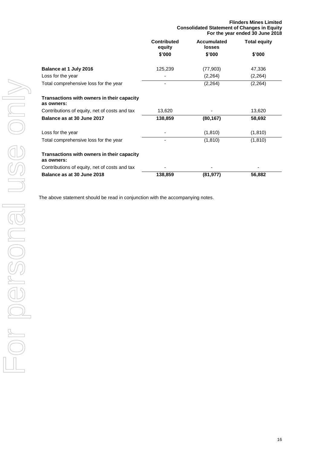|                                                          | <b>Consolidated Statement of Changes in Equity</b><br>For the year ended 30 June 2018 |                       |                     |
|----------------------------------------------------------|---------------------------------------------------------------------------------------|-----------------------|---------------------|
|                                                          | <b>Contributed</b><br>equity                                                          | Accumulated<br>losses | <b>Total equity</b> |
|                                                          | \$'000                                                                                | \$'000                | \$'000              |
| Balance at 1 July 2016                                   | 125,239                                                                               | (77,903)              | 47,336              |
| Loss for the year                                        |                                                                                       | (2, 264)              | (2,264)             |
| Total comprehensive loss for the year                    |                                                                                       | (2, 264)              | (2,264)             |
| Transactions with owners in their capacity<br>as owners: |                                                                                       |                       |                     |
| Contributions of equity, net of costs and tax            | 13,620                                                                                |                       | 13,620              |
| Balance as at 30 June 2017                               | 138,859                                                                               | (80, 167)             | 58,692              |
| Loss for the year                                        |                                                                                       | (1, 810)              | (1, 810)            |
| Total comprehensive loss for the year                    |                                                                                       | (1, 810)              | (1, 810)            |
| Transactions with owners in their capacity<br>as owners: |                                                                                       |                       |                     |
| Contributions of equity, net of costs and tax            |                                                                                       |                       |                     |
| Balance as at 30 June 2018                               | 138,859                                                                               | (81,977)              | 56,882              |

**Flinders Mines Limited**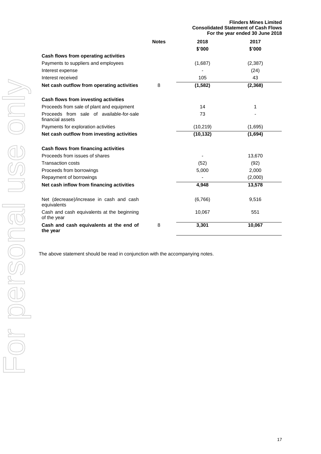|                                                              |              | <b>Flinders Mines Limited</b><br><b>Consolidated Statement of Cash Flows</b><br>For the year ended 30 June 2018 |          |  |
|--------------------------------------------------------------|--------------|-----------------------------------------------------------------------------------------------------------------|----------|--|
|                                                              | <b>Notes</b> | 2018                                                                                                            | 2017     |  |
|                                                              |              | \$'000                                                                                                          | \$'000   |  |
| Cash flows from operating activities                         |              |                                                                                                                 |          |  |
| Payments to suppliers and employees                          |              | (1,687)                                                                                                         | (2, 387) |  |
| Interest expense                                             |              |                                                                                                                 | (24)     |  |
| Interest received                                            |              | 105                                                                                                             | 43       |  |
| Net cash outflow from operating activities                   | 8            | (1, 582)                                                                                                        | (2, 368) |  |
| Cash flows from investing activities                         |              |                                                                                                                 |          |  |
| Proceeds from sale of plant and equipment                    |              | 14                                                                                                              | 1        |  |
| Proceeds from sale of available-for-sale<br>financial assets |              | 73                                                                                                              |          |  |
| Payments for exploration activities                          |              | (10, 219)                                                                                                       | (1,695)  |  |
| Net cash outflow from investing activities                   |              | (10, 132)                                                                                                       | (1,694)  |  |
| Cash flows from financing activities                         |              |                                                                                                                 |          |  |
| Proceeds from issues of shares                               |              |                                                                                                                 | 13,670   |  |
| <b>Transaction costs</b>                                     |              | (52)                                                                                                            | (92)     |  |
| Proceeds from borrowings                                     |              | 5,000                                                                                                           | 2,000    |  |
| Repayment of borrowings                                      |              |                                                                                                                 | (2,000)  |  |
| Net cash inflow from financing activities                    |              | 4,948                                                                                                           | 13,578   |  |
| Net (decrease)/increase in cash and cash<br>equivalents      |              | (6,766)                                                                                                         | 9,516    |  |
| Cash and cash equivalents at the beginning<br>of the year    |              | 10,067                                                                                                          | 551      |  |
| Cash and cash equivalents at the end of<br>the year          | 8            | 3,301                                                                                                           | 10,067   |  |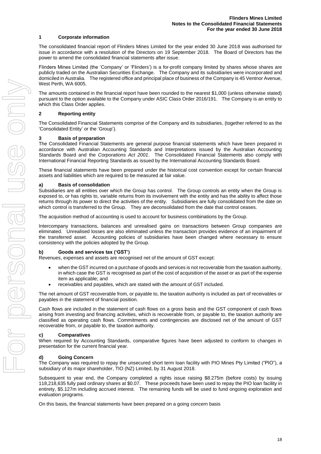#### **1 Corporate information**

The consolidated financial report of Flinders Mines Limited for the year ended 30 June 2018 was authorised for issue in accordance with a resolution of the Directors on 19 September 2018. The Board of Directors has the power to amend the consolidated financial statements after issue.

Flinders Mines Limited (the 'Company' or 'Flinders') is a for-profit company limited by shares whose shares are publicly traded on the Australian Securities Exchange. The Company and its subsidiaries were incorporated and domiciled in Australia. The registered office and principal place of business of the Company is 45 Ventnor Avenue, West Perth, WA 6005.

The amounts contained in the financial report have been rounded to the nearest \$1,000 (unless otherwise stated) pursuant to the option available to the Company under ASIC Class Order 2016/191. The Company is an entity to which this Class Order applies.

#### **2 Reporting entity**

The Consolidated Financial Statements comprise of the Company and its subsidiaries, (together referred to as the 'Consolidated Entity' or the 'Group').

#### **3 Basis of preparation**

The Consolidated Financial Statements are general purpose financial statements which have been prepared in accordance with Australian Accounting Standards and Interpretations issued by the Australian Accounting Standards Board and the *Corporations Act 2001*. The Consolidated Financial Statements also comply with International Financial Reporting Standards as issued by the International Accounting Standards Board.

These financial statements have been prepared under the historical cost convention except for certain financial assets and liabilities which are required to be measured at fair value.

#### **a) Basis of consolidation**

Subsidiaries are all entities over which the Group has control. The Group controls an entity when the Group is exposed to, or has rights to, variable returns from its involvement with the entity and has the ability to affect those returns through its power to direct the activities of the entity. Subsidiaries are fully consolidated from the date on which control is transferred to the Group. They are deconsolidated from the date that control ceases.

The acquisition method of accounting is used to account for business combinations by the Group.

Intercompany transactions, balances and unrealised gains on transactions between Group companies are eliminated. Unrealised losses are also eliminated unless the transaction provides evidence of an impairment of the transferred asset. Accounting policies of subsidiaries have been changed where necessary to ensure consistency with the policies adopted by the Group.

#### **b) Goods and services tax ('GST')**

Revenues, expenses and assets are recognised net of the amount of GST except:

- when the GST incurred on a purchase of goods and services is not recoverable from the taxation authority, in which case the GST is recognised as part of the cost of acquisition of the asset or as part of the expense item as applicable; and
- receivables and payables, which are stated with the amount of GST included.

The net amount of GST recoverable from, or payable to, the taxation authority is included as part of receivables or payables in the statement of financial position.

Cash flows are included in the statement of cash flows on a gross basis and the GST component of cash flows arising from investing and financing activities, which is recoverable from, or payable to, the taxation authority are classified as operating cash flows. Commitments and contingencies are disclosed net of the amount of GST recoverable from, or payable to, the taxation authority.

#### **c) Comparatives**

When required by Accounting Standards, comparative figures have been adjusted to conform to changes in presentation for the current financial year.

#### **d) Going Concern**

The Company was required to repay the unsecured short term loan facility with PIO Mines Pty Limited ("PIO"), a subsidiary of its major shareholder, TIO (NZ) Limited, by 31 August 2018.

Subsequent to year end, the Company completed a rights issue raising \$8.275m (before costs) by issuing 118,218,635 fully paid ordinary shares at \$0.07. These proceeds have been used to repay the PIO loan facility in entirety, \$5.127m including accrued interest. The remaining funds will be used to fund ongoing exploration and evaluation programs.

On this basis, the financial statements have been prepared on a going concern basis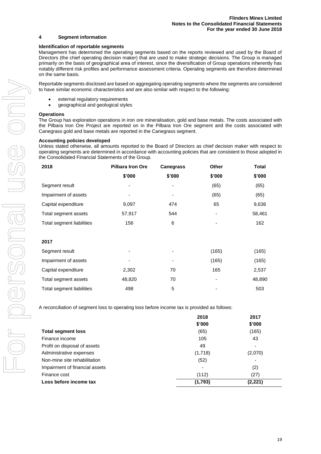#### **4 Segment information**

#### **Identification of reportable segments**

Management has determined the operating segments based on the reports reviewed and used by the Board of Directors (the chief operating decision maker) that are used to make strategic decisions. The Group is managed primarily on the basis of geographical area of interest, since the diversification of Group operations inherently has notably different risk profiles and performance assessment criteria. Operating segments are therefore determined on the same basis.

Reportable segments disclosed are based on aggregating operating segments where the segments are considered to have similar economic characteristics and are also similar with respect to the following:

- external regulatory requirements
- geographical and geological styles

#### **Operations**

The Group has exploration operations in iron ore mineralisation, gold and base metals. The costs associated with the Pilbara Iron Ore Project are reported on in the Pilbara Iron Ore segment and the costs associated with Canegrass gold and base metals are reported in the Canegrass segment.

#### **Accounting policies developed**

Unless stated otherwise, all amounts reported to the Board of Directors as chief decision maker with respect to operating segments are determined in accordance with accounting policies that are consistent to those adopted in the Consolidated Financial Statements of the Group.

| 2018                      | <b>Pilbara Iron Ore</b> | <b>Canegrass</b> | Other  | <b>Total</b> |
|---------------------------|-------------------------|------------------|--------|--------------|
|                           | \$'000                  | \$'000           | \$'000 | \$'000       |
| Segment result            |                         |                  | (65)   | (65)         |
| Impairment of assets      |                         | ٠                | (65)   | (65)         |
| Capital expenditure       | 9,097                   | 474              | 65     | 9,636        |
| Total segment assets      | 57,917                  | 544              |        | 58,461       |
| Total segment liabilities | 156                     | 6                |        | 162          |
|                           |                         |                  |        |              |
| 2017                      |                         |                  |        |              |
| Segment result            | ۰                       | ٠                | (165)  | (165)        |
| Impairment of assets      |                         |                  | (165)  | (165)        |
| Capital expenditure       | 2,302                   | 70               | 165    | 2,537        |
| Total segment assets      | 48,820                  | 70               | ۰      | 48,890       |
| Total segment liabilities | 498                     | 5                |        | 503          |

A reconciliation of segment loss to operating loss before income tax is provided as follows:

|                                | 2018                     | 2017                     |
|--------------------------------|--------------------------|--------------------------|
|                                | \$'000                   | \$'000                   |
| <b>Total segment loss</b>      | (65)                     | (165)                    |
| Finance income                 | 105                      | 43                       |
| Profit on disposal of assets   | 49                       | $\overline{\phantom{0}}$ |
| Administrative expenses        | (1,718)                  | (2,070)                  |
| Non-mine site rehabilitation   | (52)                     | -                        |
| Impairment of financial assets | $\overline{\phantom{a}}$ | (2)                      |
| Finance cost                   | (112)                    | (27)                     |
| Loss before income tax         | (1,793)                  | (2, 221)                 |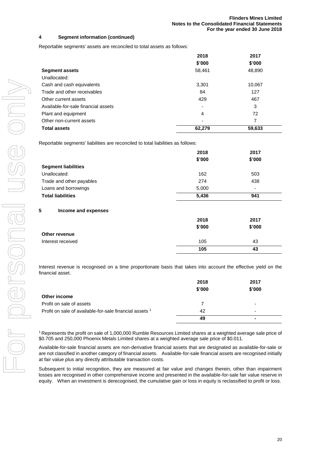# **4 Segment information (continued)**

Reportable segments' assets are reconciled to total assets as follows:

|                                     | 2018   | 2017   |
|-------------------------------------|--------|--------|
|                                     | \$'000 | \$'000 |
| <b>Segment assets</b>               | 58,461 | 48,890 |
| Unallocated:                        |        |        |
| Cash and cash equivalents           | 3,301  | 10,067 |
| Trade and other receivables         | 84     | 127    |
| Other current assets                | 429    | 467    |
| Available-for-sale financial assets | -      | 3      |
| Plant and equipment                 | 4      | 72     |
| Other non-current assets            | ۰      | 7      |
| <b>Total assets</b>                 | 62,279 | 59,633 |

Reportable segments' liabilities are reconciled to total liabilities as follows:

| 2018   | 2017                     |
|--------|--------------------------|
| \$'000 | \$'000                   |
|        |                          |
| 162    | 503                      |
| 274    | 438                      |
| 5,000  | $\overline{\phantom{a}}$ |
| 5,436  | 941                      |
|        |                          |
| 2018   | 2017                     |
| \$'000 | \$'000                   |
|        |                          |
| 105    | 43                       |
| 105    | 43                       |
|        |                          |

Interest revenue is recognised on a time proportionate basis that takes into account the effective yield on the financial asset.

|                                                         | 2018<br>\$'000 | 2017<br>\$'000           |
|---------------------------------------------------------|----------------|--------------------------|
| Other income                                            |                |                          |
| Profit on sale of assets                                |                | ٠                        |
| Profit on sale of available-for-sale financial assets 1 | 42             | $\overline{\phantom{0}}$ |
|                                                         | 49             |                          |

<sup>1</sup>Represents the profit on sale of 1,000,000 Rumble Resources Limited shares at a weighted average sale price of \$0.705 and 250,000 Phoenix Metals Limited shares at a weighted average sale price of \$0.011.

Available-for-sale financial assets are non-derivative financial assets that are designated as available-for-sale or are not classified in another category of financial assets. Available-for-sale financial assets are recognised initially at fair value plus any directly attributable transaction costs.

Subsequent to initial recognition, they are measured at fair value and changes therein, other than impairment losses are recognised in other comprehensive income and presented in the available-for-sale fair value reserve in equity. When an investment is derecognised, the cumulative gain or loss in equity is reclassified to profit or loss.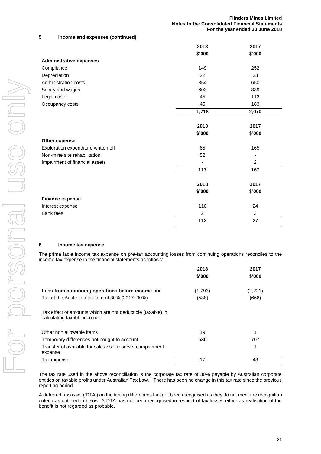# **5 Income and expenses (continued)**

|                                     | 2018            | 2017            |
|-------------------------------------|-----------------|-----------------|
|                                     | \$'000          | \$'000          |
| <b>Administrative expenses</b>      |                 |                 |
| Compliance                          | 149             | 252             |
| Depreciation                        | 22              | 33              |
| Administration costs                | 854             | 650             |
| Salary and wages                    | 603             | 839             |
| Legal costs                         | 45              | 113             |
| Occupancy costs                     | 45              | 183             |
|                                     | 1,718           | 2,070           |
|                                     | 2018            | 2017            |
|                                     | \$'000          | \$'000          |
| Other expense                       |                 |                 |
| Exploration expenditure written off | 65              | 165             |
| Non-mine site rehabilitation        | 52              |                 |
| Impairment of financial assets      |                 | $\overline{2}$  |
|                                     | 117             | 167             |
|                                     | 2018            | 2017            |
|                                     | \$'000          | \$'000          |
| <b>Finance expense</b>              |                 |                 |
| Interest expense                    | 110             | 24              |
| <b>Bank</b> fees                    | $\overline{c}$  | 3               |
|                                     | $\frac{1}{112}$ | $\overline{27}$ |

## **6 Income tax expense**

The prima facie income tax expense on pre-tax accounting losses from continuing operations reconciles to the income tax expense in the financial statements as follows:

|                                                                       | 2018    | 2017    |
|-----------------------------------------------------------------------|---------|---------|
|                                                                       | \$'000  | \$'000  |
|                                                                       |         |         |
| Loss from continuing operations before income tax                     | (1,793) | (2,221) |
| Tax at the Australian tax rate of 30% (2017: 30%)                     | (538)   | (666)   |
| Tax effect of amounts which are not deductible (taxable) in           |         |         |
| calculating taxable income:                                           |         |         |
| Other non allowable items                                             | 19      | 1       |
| Temporary differences not bought to account                           | 536     | 707     |
| Transfer of available for sale asset reserve to impairment<br>expense |         | 1       |
| Tax expense                                                           | 17      | 43      |

The tax rate used in the above reconciliation is the corporate tax rate of 30% payable by Australian corporate entities on taxable profits under Australian Tax Law. There has been no change in this tax rate since the previous reporting period.

A deferred tax asset ('DTA') on the timing differences has not been recognised as they do not meet the recognition criteria as outlined in below. A DTA has not been recognised in respect of tax losses either as realisation of the benefit is not regarded as probable.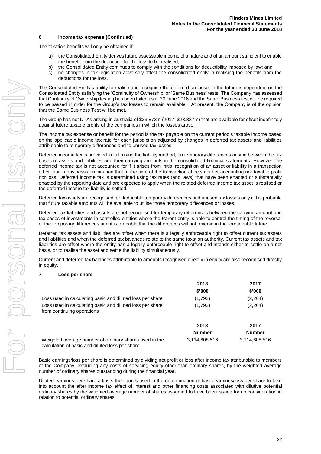#### **6 Income tax expense (Continued)**

The taxation benefits will only be obtained if:

- a) the Consolidated Entity derives future assessable income of a nature and of an amount sufficient to enable the benefit from the deduction for the loss to be realised;
- b) the Consolidated Entity continues to comply with the conditions for deductibility imposed by law; and
- c) no changes in tax legislation adversely affect the consolidated entity in realising the benefits from the deductions for the loss.

The Consolidated Entity's ability to realise and recognise the deferred tax asset in the future is dependent on the Consolidated Entity satisfying the 'Continuity of Ownership' or 'Same Business' tests. The Company has assessed that Continuity of Ownership testing has been failed as at 30 June 2016 and the Same Business test will be required to be passed in order for the Group's tax losses to remain available. At present, the Company is of the opinion that the Same Business Test will be met.

The Group has net DTAs arising in Australia of \$23.873m (2017: \$23.337m) that are available for offset indefinitely against future taxable profits of the companies in which the losses arose.

The income tax expense or benefit for the period is the tax payable on the current period's taxable income based on the applicable income tax rate for each jurisdiction adjusted by changes in deferred tax assets and liabilities attributable to temporary differences and to unused tax losses.

Deferred income tax is provided in full, using the liability method, on temporary differences arising between the tax bases of assets and liabilities and their carrying amounts in the consolidated financial statements. However, the deferred income tax is not accounted for if it arises from initial recognition of an asset or liability in a transaction other than a business combination that at the time of the transaction affects neither accounting nor taxable profit nor loss. Deferred income tax is determined using tax rates (and laws) that have been enacted or substantially enacted by the reporting date and are expected to apply when the related deferred income tax asset is realised or the deferred income tax liability is settled.

Deferred tax assets are recognised for deductible temporary differences and unused tax losses only if it is probable that future taxable amounts will be available to utilise those temporary differences or losses.

Deferred tax liabilities and assets are not recognised for temporary differences between the carrying amount and tax bases of investments in controlled entities where the Parent entity is able to control the timing of the reversal of the temporary differences and it is probable that the differences will not reverse in the foreseeable future.

Deferred tax assets and liabilities are offset when there is a legally enforceable right to offset current tax assets and liabilities and when the deferred tax balances relate to the same taxation authority. Current tax assets and tax liabilities are offset where the entity has a legally enforceable right to offset and intends either to settle on a net basis, or to realise the asset and settle the liability simultaneously.

Current and deferred tax balances attributable to amounts recognised directly in equity are also recognised directly in equity.

#### **7 Loss per share**

|                                                                                                           | 2018          | 2017          |
|-----------------------------------------------------------------------------------------------------------|---------------|---------------|
|                                                                                                           | \$'000        | \$'000        |
| Loss used in calculating basic and diluted loss per share                                                 | (1,793)       | (2,264)       |
| Loss used in calculating basic and diluted loss per share<br>from continuing operations                   | (1,793)       | (2, 264)      |
|                                                                                                           | 2018          | 2017          |
|                                                                                                           | <b>Number</b> | <b>Number</b> |
| Weighted average number of ordinary shares used in the<br>calculation of basic and diluted loss per share | 3,114,608,516 | 3,114,608,516 |

Basic earnings/loss per share is determined by dividing net profit or loss after income tax attributable to members of the Company, excluding any costs of servicing equity other than ordinary shares, by the weighted average number of ordinary shares outstanding during the financial year.

Diluted earnings per share adjusts the figures used in the determination of basic earnings/loss per share to take into account the after income tax effect of interest and other financing costs associated with dilutive potential ordinary shares by the weighted average number of shares assumed to have been issued for no consideration in relation to potential ordinary shares.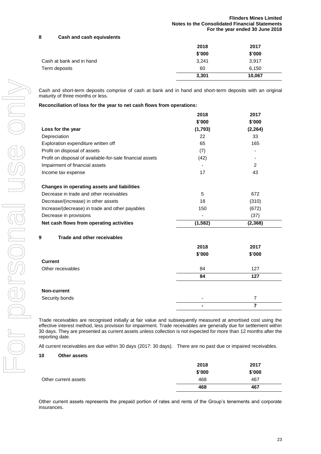# **8 Cash and cash equivalents**

|                          | 2018   | 2017   |
|--------------------------|--------|--------|
|                          | \$'000 | \$'000 |
| Cash at bank and in hand | 3,241  | 3,917  |
| Term deposits            | 60     | 6,150  |
|                          | 3,301  | 10,067 |

Cash and short-term deposits comprise of cash at bank and in hand and short-term deposits with an original maturity of three months or less.

|  |  |  |  |  | Reconciliation of loss for the year to net cash flows from operations: |
|--|--|--|--|--|------------------------------------------------------------------------|
|--|--|--|--|--|------------------------------------------------------------------------|

|                                                           | 2018<br>\$'000 | 2017<br>\$'000 |
|-----------------------------------------------------------|----------------|----------------|
| Loss for the year                                         | (1,793)        | (2, 264)       |
|                                                           | 22             | 33             |
| Depreciation                                              |                |                |
| Exploration expenditure written off                       | 65             | 165            |
| Profit on disposal of assets                              | (7)            |                |
| Profit on disposal of available-for-sale financial assets | (42)           |                |
| Impairment of financial assets                            |                | $\overline{2}$ |
| Income tax expense                                        | 17             | 43             |
| Changes in operating assets and liabilities               |                |                |
| Decrease in trade and other receivables                   | 5              | 672            |
| Decrease/(increase) in other assets                       | 18             | (310)          |
| Increase/(decrease) in trade and other payables           | 150            | (672)          |
| Decrease in provisions                                    |                | (37)           |
| Net cash flows from operating activities                  | (1, 582)       | (2, 368)       |
| Trade and other receivables<br>9                          |                |                |
|                                                           | 2018           | 2017           |
|                                                           | \$'000         | \$'000         |
| <b>Current</b>                                            |                |                |
| Other receivables                                         | 84             | 127            |
|                                                           | 84             | 127            |
| Non-current                                               |                |                |
| Security bonds                                            |                | $\overline{7}$ |
|                                                           |                | $\overline{7}$ |

Trade receivables are recognised initially at fair value and subsequently measured at amortised cost using the effective interest method, less provision for impairment. Trade receivables are generally due for settlement within 30 days. They are presented as current assets unless collection is not expected for more than 12 months after the reporting date.

All current receivables are due within 30 days (2017: 30 days). There are no past due or impaired receivables.

#### **10 Other assets**

|                      | 2018   | 2017   |
|----------------------|--------|--------|
|                      | \$'000 | \$'000 |
| Other current assets | 468    | 467    |
|                      | 468    | 467    |

Other current assets represents the prepaid portion of rates and rents of the Group's tenements and corporate insurances.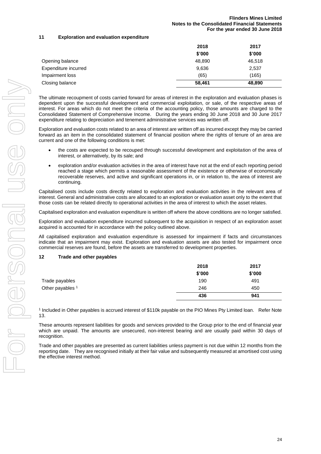# **11 Exploration and evaluation expenditure**

|                      | 2018   | 2017   |
|----------------------|--------|--------|
|                      | \$'000 | \$'000 |
| Opening balance      | 48,890 | 46,518 |
| Expenditure incurred | 9,636  | 2,537  |
| Impairment loss      | (65)   | (165)  |
| Closing balance      | 58,461 | 48,890 |

The ultimate recoupment of costs carried forward for areas of interest in the exploration and evaluation phases is dependent upon the successful development and commercial exploitation, or sale, of the respective areas of interest. For areas which do not meet the criteria of the accounting policy, those amounts are charged to the Consolidated Statement of Comprehensive Income. During the years ending 30 June 2018 and 30 June 2017 expenditure relating to depreciation and tenement administrative services was written off.

Exploration and evaluation costs related to an area of interest are written off as incurred except they may be carried forward as an item in the consolidated statement of financial position where the rights of tenure of an area are current and one of the following conditions is met:

- the costs are expected to be recouped through successful development and exploitation of the area of interest, or alternatively, by its sale; and
- exploration and/or evaluation activities in the area of interest have not at the end of each reporting period reached a stage which permits a reasonable assessment of the existence or otherwise of economically recoverable reserves, and active and significant operations in, or in relation to, the area of interest are continuing.

Capitalised costs include costs directly related to exploration and evaluation activities in the relevant area of interest. General and administrative costs are allocated to an exploration or evaluation asset only to the extent that those costs can be related directly to operational activities in the area of interest to which the asset relates.

Capitalised exploration and evaluation expenditure is written off where the above conditions are no longer satisfied.

Exploration and evaluation expenditure incurred subsequent to the acquisition in respect of an exploration asset acquired is accounted for in accordance with the policy outlined above.

All capitalised exploration and evaluation expenditure is assessed for impairment if facts and circumstances indicate that an impairment may exist. Exploration and evaluation assets are also tested for impairment once commercial reserves are found, before the assets are transferred to development properties.

## **12 Trade and other payables**

|                             | 2018   | 2017   |
|-----------------------------|--------|--------|
|                             | \$'000 | \$'000 |
| Trade payables              | 190    | 491    |
| Other payables <sup>1</sup> | 246    | 450    |
|                             | 436    | 941    |

1 Included in Other payables is accrued interest of \$110k payable on the PIO Mines Pty Limited loan. Refer Note 13.

These amounts represent liabilities for goods and services provided to the Group prior to the end of financial year which are unpaid. The amounts are unsecured, non-interest bearing and are usually paid within 30 days of recognition.

Trade and other payables are presented as current liabilities unless payment is not due within 12 months from the reporting date. They are recognised initially at their fair value and subsequently measured at amortised cost using the effective interest method.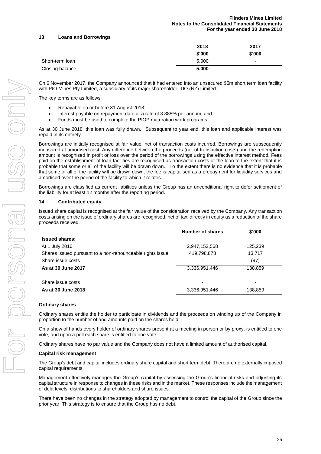## **13 Loans and Borrowings**

|                 | 2018   | 2017                     |
|-----------------|--------|--------------------------|
|                 | \$'000 | \$'000                   |
| Short-term loan | 5,000  | $\overline{\phantom{0}}$ |
| Closing balance | 5,000  | $\blacksquare$           |

On 6 November 2017, the Company announced that it had entered into an unsecured \$5m short term loan facility with PIO Mines Pty Limited, a subsidiary of its major shareholder, TIO (NZ) Limited.

The key terms are as follows:

- Repayable on or before 31 August 2018;
- Interest payable on repayment date at a rate of 3.885% per annum; and
- Funds must be used to complete the PIOP maturation work programs.

As at 30 June 2018, this loan was fully drawn. Subsequent to year end, this loan and applicable interest was repaid in its entirety.

Borrowings are initially recognised at fair value, net of transaction costs incurred. Borrowings are subsequently measured at amortised cost. Any difference between the proceeds (net of transaction costs) and the redemption amount is recognised in profit or loss over the period of the borrowings using the effective interest method. Fees paid on the establishment of loan facilities are recognised as transaction costs of the loan to the extent that it is probable that some or all of the facility will be drawn down. To the extent there is no evidence that it is probable that some or all of the facility will be drawn down, the fee is capitalised as a prepayment for liquidity services and amortised over the period of the facility to which it relates.

Borrowings are classified as current liabilities unless the Group has an unconditional right to defer settlement of the liability for at least 12 months after the reporting period.

#### **14 Contributed equity**

Issued share capital is recognised at the fair value of the consideration received by the Company. Any transaction costs arising on the issue of ordinary shares are recognised, net of tax, directly in equity as a reduction of the share proceeds received.

|                                                           | Number of shares | \$'000  |
|-----------------------------------------------------------|------------------|---------|
| <b>Issued shares:</b>                                     |                  |         |
| At 1 July 2016                                            | 2,947,152,568    | 125,239 |
| Shares issued pursuant to a non-renounceable rights issue | 419,798,878      | 13,717  |
| Share issue costs                                         |                  | (97)    |
| As at 30 June 2017                                        | 3,336,951,446    | 138,859 |
| Share issue costs                                         |                  | ٠       |
| As at 30 June 2018                                        | 3,336,951,446    | 138,859 |

#### **Ordinary shares**

Ordinary shares entitle the holder to participate in dividends and the proceeds on winding up of the Company in proportion to the number of and amounts paid on the shares held.

On a show of hands every holder of ordinary shares present at a meeting in person or by proxy, is entitled to one vote, and upon a poll each share is entitled to one vote.

Ordinary shares have no par value and the Company does not have a limited amount of authorised capital.

#### **Capital risk management**

The Group's debt and capital includes ordinary share capital and short term debt. There are no externally imposed capital requirements.

Management effectively manages the Group's capital by assessing the Group's financial risks and adjusting its capital structure in response to changes in these risks and in the market. These responses include the management of debt levels, distributions to shareholders and share issues.

There have been no changes in the strategy adopted by management to control the capital of the Group since the prior year. This strategy is to ensure that the Group has no debt.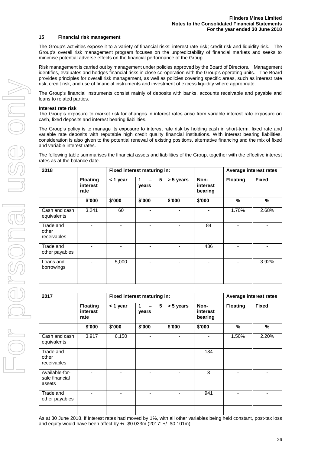#### **15 Financial risk management**

The Group's activities expose it to a variety of financial risks: interest rate risk; credit risk and liquidity risk. The Group's overall risk management program focuses on the unpredictability of financial markets and seeks to minimise potential adverse effects on the financial performance of the Group.

Risk management is carried out by management under policies approved by the Board of Directors. Management identifies, evaluates and hedges financial risks in close co-operation with the Group's operating units. The Board provides principles for overall risk management, as well as policies covering specific areas, such as interest rate risk, credit risk, and use of financial instruments and investment of excess liquidity where appropriate.

The Group's financial instruments consist mainly of deposits with banks, accounts receivable and payable and loans to related parties.

#### **Interest rate risk**

The Group's exposure to market risk for changes in interest rates arise from variable interest rate exposure on cash, fixed deposits and interest bearing liabilities.

The Group's policy is to manage its exposure to interest rate risk by holding cash in short-term, fixed rate and variable rate deposits with reputable high credit quality financial institutions. With interest bearing liabilities, consideration is also given to the potential renewal of existing positions, alternative financing and the mix of fixed and variable interest rates.

The following table summarises the financial assets and liabilities of the Group, together with the effective interest rates as at the balance date.

| 2018                              |                                     |            | Fixed interest maturing in: |           |                             |                 | Average interest rates |
|-----------------------------------|-------------------------------------|------------|-----------------------------|-----------|-----------------------------|-----------------|------------------------|
|                                   | <b>Floating</b><br>interest<br>rate | $<$ 1 year | 5<br>years                  | > 5 years | Non-<br>interest<br>bearing | <b>Floating</b> | <b>Fixed</b>           |
|                                   | \$'000                              | \$'000     | \$'000                      | \$'000    | \$'000                      | %               | %                      |
| Cash and cash<br>equivalents      | 3,241                               | 60         |                             |           |                             | 1.70%           | 2.68%                  |
| Trade and<br>other<br>receivables |                                     |            |                             |           | 84                          |                 |                        |
| Trade and<br>other payables       |                                     |            |                             |           | 436                         |                 |                        |
| Loans and<br>borrowings           |                                     | 5,000      |                             |           |                             |                 | 3.92%                  |
|                                   |                                     |            |                             |           |                             |                 |                        |

| 2017                                       |                                     |            | Fixed interest maturing in: |           |                             |                 | Average interest rates |
|--------------------------------------------|-------------------------------------|------------|-----------------------------|-----------|-----------------------------|-----------------|------------------------|
|                                            | <b>Floating</b><br>interest<br>rate | $<$ 1 year | 5<br>years                  | > 5 years | Non-<br>interest<br>bearing | <b>Floating</b> | <b>Fixed</b>           |
|                                            | \$'000                              | \$'000     | \$'000                      | \$'000    | \$'000                      | %               | %                      |
| Cash and cash<br>equivalents               | 3,917                               | 6,150      |                             |           |                             | 1.50%           | 2.20%                  |
| Trade and<br>other<br>receivables          |                                     |            |                             |           | 134                         |                 |                        |
| Available-for-<br>sale financial<br>assets |                                     |            |                             |           | 3                           |                 |                        |
| Trade and<br>other payables                |                                     |            |                             |           | 941                         |                 |                        |
|                                            |                                     |            |                             |           |                             |                 |                        |

As at 30 June 2018, if interest rates had moved by 1%, with all other variables being held constant, post-tax loss and equity would have been affect by +/- \$0.033m (2017: +/- \$0.101m).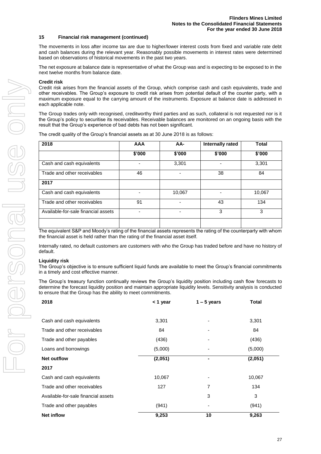#### **15 Financial risk management (continued)**

The movements in loss after income tax are due to higher/lower interest costs from fixed and variable rate debt and cash balances during the relevant year. Reasonably possible movements in interest rates were determined based on observations of historical movements in the past two years.

The net exposure at balance date is representative of what the Group was and is expecting to be exposed to in the next twelve months from balance date.

#### **Credit risk**

Credit risk arises from the financial assets of the Group, which comprise cash and cash equivalents, trade and other receivables. The Group's exposure to credit risk arises from potential default of the counter party, with a maximum exposure equal to the carrying amount of the instruments. Exposure at balance date is addressed in each applicable note.

The Group trades only with recognised, creditworthy third parties and as such, collateral is not requested nor is it the Group's policy to securitise its receivables. Receivable balances are monitored on an ongoing basis with the result that the Group's experience of bad debts has not been significant.

The credit quality of the Group's financial assets as at 30 June 2018 is as follows:

| 2018                                | <b>AAA</b> | AA-    | Internally rated | <b>Total</b> |
|-------------------------------------|------------|--------|------------------|--------------|
|                                     | \$'000     | \$'000 | \$'000           | \$'000       |
| Cash and cash equivalents           |            | 3,301  |                  | 3,301        |
| Trade and other receivables         | 46         |        | 38               | 84           |
| 2017                                |            |        |                  |              |
| Cash and cash equivalents           |            | 10,067 |                  | 10,067       |
| Trade and other receivables         | 91         |        | 43               | 134          |
| Available-for-sale financial assets |            |        | 3                | 3            |
|                                     |            |        |                  |              |

The equivalent S&P and Moody's rating of the financial assets represents the rating of the counterparty with whom the financial asset is held rather than the rating of the financial asset itself.

Internally rated, no default customers are customers with who the Group has traded before and have no history of default.

#### **Liquidity risk**

The Group's objective is to ensure sufficient liquid funds are available to meet the Group's financial commitments in a timely and cost effective manner.

The Group's treasury function continually reviews the Group's liquidity position including cash flow forecasts to determine the forecast liquidity position and maintain appropriate liquidity levels. Sensitivity analysis is conducted to ensure that the Group has the ability to meet commitments.

| 2018                                | < 1 year | $1 - 5$ years | <b>Total</b> |  |
|-------------------------------------|----------|---------------|--------------|--|
|                                     |          |               |              |  |
| Cash and cash equivalents           | 3,301    |               | 3,301        |  |
| Trade and other receivables         | 84       |               | 84           |  |
| Trade and other payables            | (436)    |               | (436)        |  |
| Loans and borrowings                | (5,000)  |               | (5,000)      |  |
| <b>Net outflow</b>                  | (2,051)  |               | (2,051)      |  |
| 2017                                |          |               |              |  |
| Cash and cash equivalents           | 10,067   | -             | 10,067       |  |
| Trade and other receivables         | 127      | 7             | 134          |  |
| Available-for-sale financial assets |          | 3             | 3            |  |
| Trade and other payables            | (941)    |               | (941)        |  |
| <b>Net inflow</b>                   | 9,253    | 10            | 9,263        |  |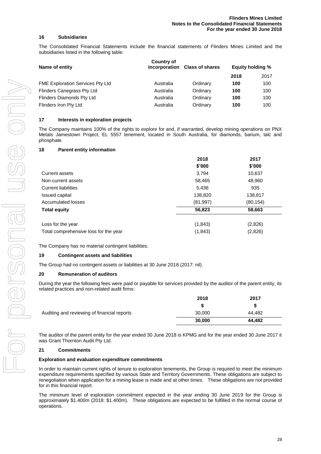#### **16 Subsidiaries**

The Consolidated Financial Statements include the financial statements of Flinders Mines Limited and the subsidiaries listed in the following table:

| Name of entity                          | Country of<br>incorporation Class of shares |          | <b>Equity holding %</b> |      |
|-----------------------------------------|---------------------------------------------|----------|-------------------------|------|
|                                         |                                             |          | 2018                    | 2017 |
| <b>FME Exploration Services Pty Ltd</b> | Australia                                   | Ordinary | 100                     | 100  |
| Flinders Canegrass Pty Ltd              | Australia                                   | Ordinary | 100                     | 100  |
| Flinders Diamonds Pty Ltd               | Australia                                   | Ordinary | 100                     | 100  |
| Flinders Iron Pty Ltd                   | Australia                                   | Ordinary | 100                     | 100  |

#### **17 Interests in exploration projects**

The Company maintains 100% of the rights to explore for and, if warranted, develop mining operations on PNX Metals Jamestown Project, EL 5557 tenement, located in South Australia, for diamonds, barium, talc and phosphate.

#### **18 Parent entity information**

|                                       | 2018      | 2017      |
|---------------------------------------|-----------|-----------|
|                                       | \$'000    | \$'000    |
| Current assets                        | 3,794     | 10,637    |
| Non-current assets                    | 58,465    | 48,960    |
| <b>Current liabilities</b>            | 5,436     | 935       |
| Issued capital                        | 138,820   | 138,817   |
| Accumulated losses                    | (81, 997) | (80, 154) |
| <b>Total equity</b>                   | 56,823    | 58,663    |
| Loss for the year                     | (1, 843)  | (2,826)   |
| Total comprehensive loss for the year | (1, 843)  | (2,826)   |

The Company has no material contingent liabilities.

#### **19 Contingent assets and liabilities**

The Group had no contingent assets or liabilities at 30 June 2018 (2017: nil).

#### **20 Remuneration of auditors**

During the year the following fees were paid or payable for services provided by the auditor of the parent entity, its related practices and non-related audit firms:

|                                             | 2018   | 2017   |
|---------------------------------------------|--------|--------|
|                                             |        |        |
| Auditing and reviewing of financial reports | 30,000 | 44.482 |
|                                             | 30,000 | 44.482 |

The auditor of the parent entity for the year ended 30 June 2018 is KPMG and for the year ended 30 June 2017 it was Grant Thornton Audit Pty Ltd.

#### **21 Commitments**

#### **Exploration and evaluation expenditure commitments**

In order to maintain current rights of tenure to exploration tenements, the Group is required to meet the minimum expenditure requirements specified by various State and Territory Governments. These obligations are subject to renegotiation when application for a mining lease is made and at other times. These obligations are not provided for in this financial report.

The minimum level of exploration commitment expected in the year ending 30 June 2019 for the Group is approximately \$1.400m (2018: \$1.400m). These obligations are expected to be fulfilled in the normal course of operations.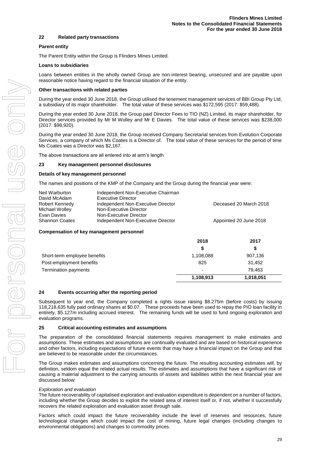#### **22 Related party transactions**

#### **Parent entity**

The Parent Entity within the Group is Flinders Mines Limited.

#### **Loans to subsidiaries**

Loans between entities in the wholly owned Group are non-interest bearing, unsecured and are payable upon reasonable notice having regard to the financial situation of the entity.

#### **Other transactions with related parties**

During the year ended 30 June 2018, the Group utilised the tenement management services of BBI Group Pty Ltd, a subsidiary of its major shareholder. The total value of these services was \$172,595 (2017: \$59,488).

During the year ended 30 June 2018, the Group paid Director Fees to TIO (NZ) Limited, its major shareholder, for Director services provided by Mr M Wolley and Mr E Davies. The total value of these services was \$238,000 (2017: \$98,920).

During the year ended 30 June 2018, the Group received Company Secretarial services from Evolution Corporate Services, a company of which Ms Coates is a Director of. The total value of these services for the period of time Ms Coates was a Director was \$2,167.

The above transactions are all entered into at arm's length

#### **23 Key management personnel disclosures**

#### **Details of key management personnel**

The names and positions of the KMP of the Company and the Group during the financial year were:

| Neil Warburton        | Independent Non-Executive Chairman |                        |
|-----------------------|------------------------------------|------------------------|
| David McAdam          | <b>Executive Director</b>          |                        |
| Robert Kennedy        | Independent Non-Executive Director | Deceased 20 March 2018 |
| Michael Wolley        | Non-Executive Director             |                        |
| Evan Davies           | Non-Executive Director             |                        |
| <b>Shannon Coates</b> | Independent Non-Executive Director | Appointed 20 June 2018 |

#### **Compensation of key management personnel**

|                              | 2018                     | 2017      |
|------------------------------|--------------------------|-----------|
|                              | \$                       | S         |
| Short-term employee benefits | 1,108,088                | 907,136   |
| Post-employment benefits     | 825                      | 31,452    |
| Termination payments         | $\overline{\phantom{a}}$ | 79.463    |
|                              | 1,108,913                | 1,018,051 |

#### **24 Events occurring after the reporting period**

Subsequent to year end, the Company completed a rights issue raising \$8.275m (before costs) by issuing 118,218,635 fully paid ordinary shares at \$0.07. These proceeds have been used to repay the PIO loan facility in entirety, \$5.127m including accrued interest. The remaining funds will be used to fund ongoing exploration and evaluation programs.

#### **25 Critical accounting estimates and assumptions**

The preparation of the consolidated financial statements requires management to make estimates and assumptions. These estimates and assumptions are continually evaluated and are based on historical experience and other factors, including expectations of future events that may have a financial impact on the Group and that are believed to be reasonable under the circumstances.

The Group makes estimates and assumptions concerning the future. The resulting accounting estimates will, by definition, seldom equal the related actual results. The estimates and assumptions that have a significant risk of causing a material adjustment to the carrying amounts of assets and liabilities within the next financial year are discussed below:

#### *Exploration and evaluation*

The future recoverability of capitalised exploration and evaluation expenditure is dependent on a number of factors, including whether the Group decides to exploit the related area of interest itself or, if not, whether it successfully recovers the related exploration and evaluation asset through sale.

Factors which could impact the future recoverability include the level of reserves and resources, future technological changes which could impact the cost of mining, future legal changes (including changes to environmental obligations) and changes to commodity prices.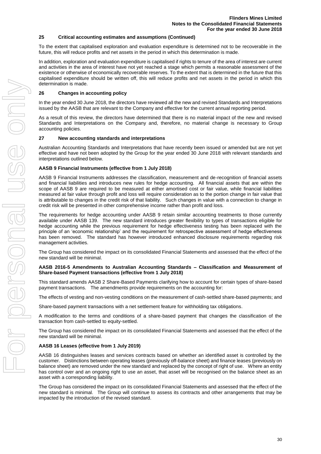#### **25 Critical accounting estimates and assumptions (Continued)**

To the extent that capitalised exploration and evaluation expenditure is determined not to be recoverable in the future, this will reduce profits and net assets in the period in which this determination is made.

In addition, exploration and evaluation expenditure is capitalised if rights to tenure of the area of interest are current and activities in the area of interest have not yet reached a stage which permits a reasonable assessment of the existence or otherwise of economically recoverable reserves. To the extent that is determined in the future that this capitalised expenditure should be written off, this will reduce profits and net assets in the period in which this determination is made.

#### **26 Changes in accounting policy**

In the year ended 30 June 2018, the directors have reviewed all the new and revised Standards and Interpretations issued by the AASB that are relevant to the Company and effective for the current annual reporting period.

As a result of this review, the directors have determined that there is no material impact of the new and revised Standards and Interpretations on the Company and, therefore, no material change is necessary to Group accounting policies.

#### **27 New accounting standards and interpretations**

Australian Accounting Standards and Interpretations that have recently been issued or amended but are not yet effective and have not been adopted by the Group for the year ended 30 June 2018 with relevant standards and interpretations outlined below.

#### **AASB 9 Financial Instruments (effective from 1 July 2018)**

AASB 9 Financial Instruments addresses the classification, measurement and de-recognition of financial assets and financial liabilities and introduces new rules for hedge accounting. All financial assets that are within the scope of AASB 9 are required to be measured at either amortised cost or fair value, while financial liabilities measured at fair value through profit and loss will require consideration as to the portion change in fair value that is attributable to changes in the credit risk of that liability. Such changes in value with a connection to change in credit risk will be presented in other comprehensive income rather than profit and loss.

The requirements for hedge accounting under AASB 9 retain similar accounting treatments to those currently available under AASB 139. The new standard introduces greater flexibility to types of transactions eligible for hedge accounting while the previous requirement for hedge effectiveness testing has been replaced with the principle of an 'economic relationship' and the requirement for retrospective assessment of hedge effectiveness has been removed. The standard has however introduced enhanced disclosure requirements regarding risk management activities.

The Group has considered the impact on its consolidated Financial Statements and assessed that the effect of the new standard will be minimal.

#### **AASB 2016-5 Amendments to Australian Accounting Standards – Classification and Measurement of Share-based Payment transactions (effective from 1 July 2018)**

This standard amends AASB 2 Share-Based Payments clarifying how to account for certain types of share-based payment transactions. The amendments provide requirements on the accounting for:

The effects of vesting and non-vesting conditions on the measurement of cash-settled share-based payments; and

Share-based payment transactions with a net settlement feature for withholding tax obligations.

A modification to the terms and conditions of a share-based payment that changes the classification of the transaction from cash-settled to equity-settled.

The Group has considered the impact on its consolidated Financial Statements and assessed that the effect of the new standard will be minimal.

#### **AASB 16 Leases (effective from 1 July 2019)**

AASB 16 distinguishes leases and services contracts based on whether an identified asset is controlled by the customer. Distinctions between operating leases (previously off-balance sheet) and finance leases (previously on balance sheet) are removed under the new standard and replaced by the concept of right of use. Where an entity has control over and an ongoing right to use an asset, that asset will be recognised on the balance sheet as an asset with a corresponding liability.

The Group has considered the impact on its consolidated Financial Statements and assessed that the effect of the new standard is minimal. The Group will continue to assess its contracts and other arrangements that may be impacted by the introduction of the revised standard.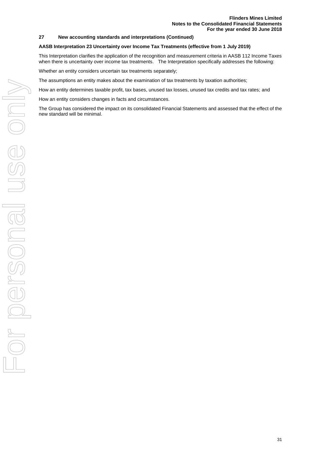#### **27 New accounting standards and interpretations (Continued)**

#### **AASB Interpretation 23 Uncertainty over Income Tax Treatments (effective from 1 July 2019)**

This Interpretation clarifies the application of the recognition and measurement criteria in AASB 112 Income Taxes when there is uncertainty over income tax treatments. The Interpretation specifically addresses the following:

Whether an entity considers uncertain tax treatments separately;

The assumptions an entity makes about the examination of tax treatments by taxation authorities;

How an entity determines taxable profit, tax bases, unused tax losses, unused tax credits and tax rates; and

How an entity considers changes in facts and circumstances.

The Group has considered the impact on its consolidated Financial Statements and assessed that the effect of the new standard will be minimal.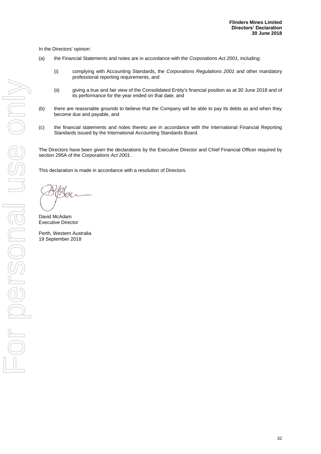In the Directors' opinion:

- (a) the Financial Statements and notes are in accordance with the *Corporations Act 2001*, including:
	- (i) complying with Accounting Standards, the *Corporations Regulations 2001* and other mandatory professional reporting requirements, and
	- (ii) giving a true and fair view of the Consolidated Entity's financial position as at 30 June 2018 and of its performance for the year ended on that date, and
- (b) there are reasonable grounds to believe that the Company will be able to pay its debts as and when they become due and payable, and
- (c) the financial statements and notes thereto are in accordance with the International Financial Reporting Standards issued by the International Accounting Standards Board.

The Directors have been given the declarations by the Executive Director and Chief Financial Officer required by section 295A of the *Corporations Act 2001*.

This declaration is made in accordance with a resolution of Directors.

David McAdam Executive Director

Perth, Western Australia 19 September 2018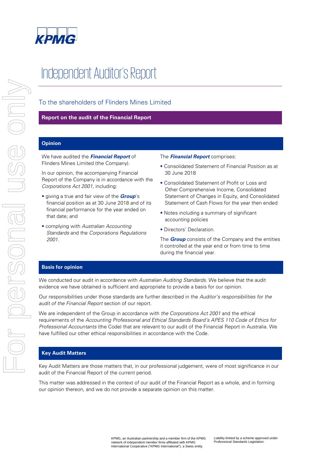

# Independent Auditor's Report

# To the shareholders of Flinders Mines Limited

# **Report on the audit of the Financial Report**

# **Opinion**

We have audited the **Financial Report** of Flinders Mines Limited (the Company).

In our opinion, the accompanying Financial Report of the Company is in accordance with the Corporations Act 2001, including:

- giving a true and fair view of the **Group**'s financial position as at 30 June 2018 and of its financial performance for the year ended on that date; and
- complying with Australian Accounting Standards and the Corporations Regulations 2001.

#### The **Financial Report** comprises:

- Consolidated Statement of Financial Position as at 30 June 2018
- Consolidated Statement of Profit or Loss and Other Comprehensive Income, Consolidated Statement of Changes in Equity, and Consolidated Statement of Cash Flows for the year then ended
- Notes including a summary of significant accounting policies
- Directors' Declaration.

The **Group** consists of the Company and the entities it controlled at the year end or from time to time during the financial year.

## **Basis for opinion**

We conducted our audit in accordance with Australian Auditing Standards. We believe that the audit evidence we have obtained is sufficient and appropriate to provide a basis for our opinion.

Our responsibilities under those standards are further described in the Auditor's responsibilities for the audit of the Financial Report section of our report.

We are independent of the Group in accordance with the Corporations Act 2001 and the ethical requirements of the Accounting Professional and Ethical Standards Board's APES 110 Code of Ethics for Professional Accountants (the Code) that are relevant to our audit of the Financial Report in Australia. We have fulfilled our other ethical responsibilities in accordance with the Code.

# **Key Audit Matters**

Key Audit Matters are those matters that, in our professional judgement, were of most significance in our audit of the Financial Report of the current period.

This matter was addressed in the context of our audit of the Financial Report as a whole, and in forming our opinion thereon, and we do not provide a separate opinion on this matter.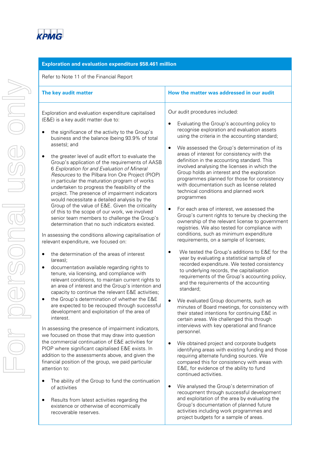| Exploration and evaluation expenditure \$58.461 million                                                                                                                                                                                                                                                                                                                                                                                                                                                                                                                                                                                                                                                                                                                                                                                                                                                                                                                                                                                                                                                                                                                                                                                                                                                                                                                                                                                                                                                                                                                                                                                                                                                                                                                                            |                                                                                                                                                                                                                                                                                                                                                                                                                                                                                                                                                                                                                                                                                                                                                                                                                                                                                                                                                                                                                                                                                                                                                                                                                                                                                                                                                                                                                                                                                                                                                                                                                                                                                                |  |  |  |  |
|----------------------------------------------------------------------------------------------------------------------------------------------------------------------------------------------------------------------------------------------------------------------------------------------------------------------------------------------------------------------------------------------------------------------------------------------------------------------------------------------------------------------------------------------------------------------------------------------------------------------------------------------------------------------------------------------------------------------------------------------------------------------------------------------------------------------------------------------------------------------------------------------------------------------------------------------------------------------------------------------------------------------------------------------------------------------------------------------------------------------------------------------------------------------------------------------------------------------------------------------------------------------------------------------------------------------------------------------------------------------------------------------------------------------------------------------------------------------------------------------------------------------------------------------------------------------------------------------------------------------------------------------------------------------------------------------------------------------------------------------------------------------------------------------------|------------------------------------------------------------------------------------------------------------------------------------------------------------------------------------------------------------------------------------------------------------------------------------------------------------------------------------------------------------------------------------------------------------------------------------------------------------------------------------------------------------------------------------------------------------------------------------------------------------------------------------------------------------------------------------------------------------------------------------------------------------------------------------------------------------------------------------------------------------------------------------------------------------------------------------------------------------------------------------------------------------------------------------------------------------------------------------------------------------------------------------------------------------------------------------------------------------------------------------------------------------------------------------------------------------------------------------------------------------------------------------------------------------------------------------------------------------------------------------------------------------------------------------------------------------------------------------------------------------------------------------------------------------------------------------------------|--|--|--|--|
| Refer to Note 11 of the Financial Report                                                                                                                                                                                                                                                                                                                                                                                                                                                                                                                                                                                                                                                                                                                                                                                                                                                                                                                                                                                                                                                                                                                                                                                                                                                                                                                                                                                                                                                                                                                                                                                                                                                                                                                                                           |                                                                                                                                                                                                                                                                                                                                                                                                                                                                                                                                                                                                                                                                                                                                                                                                                                                                                                                                                                                                                                                                                                                                                                                                                                                                                                                                                                                                                                                                                                                                                                                                                                                                                                |  |  |  |  |
| The key audit matter                                                                                                                                                                                                                                                                                                                                                                                                                                                                                                                                                                                                                                                                                                                                                                                                                                                                                                                                                                                                                                                                                                                                                                                                                                                                                                                                                                                                                                                                                                                                                                                                                                                                                                                                                                               | How the matter was addressed in our audit                                                                                                                                                                                                                                                                                                                                                                                                                                                                                                                                                                                                                                                                                                                                                                                                                                                                                                                                                                                                                                                                                                                                                                                                                                                                                                                                                                                                                                                                                                                                                                                                                                                      |  |  |  |  |
| Exploration and evaluation expenditure capitalised<br>(E&E) is a key audit matter due to:<br>the significance of the activity to the Group's<br>٠<br>business and the balance (being 93.9% of total<br>assets); and<br>the greater level of audit effort to evaluate the<br>Group's application of the requirements of AASB<br>6 Exploration for and Evaluation of Mineral<br>Resources to the Pilbara Iron Ore Project (PIOP)<br>in particular the maturation program of works<br>undertaken to progress the feasibility of the<br>project. The presence of impairment indicators<br>would necessitate a detailed analysis by the<br>Group of the value of E&E. Given the criticality<br>of this to the scope of our work, we involved<br>senior team members to challenge the Group's<br>determination that no such indicators existed.<br>In assessing the conditions allowing capitalisation of<br>relevant expenditure, we focused on:<br>the determination of the areas of interest<br>٠<br>(areas);<br>documentation available regarding rights to<br>$\bullet$<br>tenure, via licensing, and compliance with<br>relevant conditions, to maintain current rights to<br>an area of interest and the Group's intention and<br>capacity to continue the relevant E&E activities;<br>the Group's determination of whether the E&E<br>are expected to be recouped through successful<br>development and exploitation of the area of<br>interest.<br>In assessing the presence of impairment indicators,<br>we focused on those that may draw into question<br>the commercial continuation of E&E activities for<br>PIOP where significant capitalised E&E exists. In<br>addition to the assessments above, and given the<br>financial position of the group, we paid particular<br>attention to: | Our audit procedures included:<br>Evaluating the Group's accounting policy to<br>recognise exploration and evaluation assets<br>using the criteria in the accounting standard;<br>We assessed the Group's determination of its<br>$\bullet$<br>areas of interest for consistency with the<br>definition in the accounting standard. This<br>involved analysing the licenses in which the<br>Group holds an interest and the exploration<br>programmes planned for those for consistency<br>with documentation such as license related<br>technical conditions and planned work<br>programmes<br>For each area of interest, we assessed the<br>Group's current rights to tenure by checking the<br>ownership of the relevant license to government<br>registries. We also tested for compliance with<br>conditions, such as minimum expenditure<br>requirements, on a sample of licenses;<br>We tested the Group's additions to E&E for the<br>year by evaluating a statistical sample of<br>recorded expenditure. We tested consistency<br>to underlying records, the capitalisation<br>requirements of the Group's accounting policy,<br>and the requirements of the accounting<br>standard;<br>We evaluated Group documents, such as<br>minutes of Board meetings, for consistency with<br>their stated intentions for continuing E&E in<br>certain areas. We challenged this through<br>interviews with key operational and finance<br>personnel.<br>We obtained project and corporate budgets<br>identifying areas with existing funding and those<br>requiring alternate funding sources. We<br>compared this for consistency with areas with<br>E&E, for evidence of the ability to fund |  |  |  |  |
| The ability of the Group to fund the continuation<br>of activities<br>Results from latest activities regarding the                                                                                                                                                                                                                                                                                                                                                                                                                                                                                                                                                                                                                                                                                                                                                                                                                                                                                                                                                                                                                                                                                                                                                                                                                                                                                                                                                                                                                                                                                                                                                                                                                                                                                 | continued activities.<br>We analysed the Group's determination of<br>recoupment through successful development<br>and exploitation of the area by evaluating the                                                                                                                                                                                                                                                                                                                                                                                                                                                                                                                                                                                                                                                                                                                                                                                                                                                                                                                                                                                                                                                                                                                                                                                                                                                                                                                                                                                                                                                                                                                               |  |  |  |  |

Group's documentation of planned future activities including work programmes and project budgets for a sample of areas.

existence or otherwise of economically

recoverable reserves.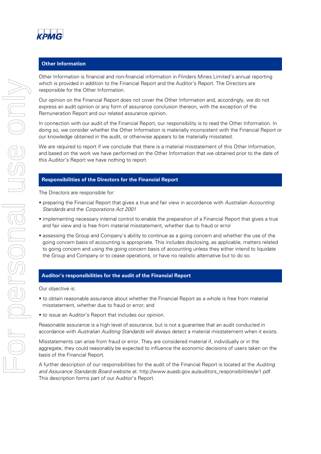

# **Other Information**

Other Information is financial and non-financial information in Flinders Mines Limited's annual reporting which is provided in addition to the Financial Report and the Auditor's Report. The Directors are responsible for the Other Information.

Our opinion on the Financial Report does not cover the Other Information and, accordingly, we do not express an audit opinion or any form of assurance conclusion thereon, with the exception of the Remuneration Report and our related assurance opinion.

In connection with our audit of the Financial Report, our responsibility is to read the Other Information. In doing so, we consider whether the Other Information is materially inconsistent with the Financial Report or our knowledge obtained in the audit, or otherwise appears to be materially misstated.

We are required to report if we conclude that there is a material misstatement of this Other Information, and based on the work we have performed on the Other Information that we obtained prior to the date of this Auditor's Report we have nothing to report.

# **Responsibilities of the Directors for the Financial Report**

The Directors are responsible for:

- preparing the Financial Report that gives a true and fair view in accordance with Australian Accounting Standards and the Corporations Act 2001
- implementing necessary internal control to enable the preparation of a Financial Report that gives a true and fair view and is free from material misstatement, whether due to fraud or error
- assessing the Group and Company's ability to continue as a going concern and whether the use of the going concern basis of accounting is appropriate. This includes disclosing, as applicable, matters related to going concern and using the going concern basis of accounting unless they either intend to liquidate the Group and Company or to cease operations, or have no realistic alternative but to do so.

## **Auditor's responsibilities for the audit of the Financial Report**

Our objective is:

- to obtain reasonable assurance about whether the Financial Report as a whole is free from material misstatement, whether due to fraud or error; and
- to issue an Auditor's Report that includes our opinion.

Reasonable assurance is a high level of assurance, but is not a guarantee that an audit conducted in accordance with Australian Auditing Standards will always detect a material misstatement when it exists.

Misstatements can arise from fraud or error. They are considered material if, individually or in the aggregate, they could reasonably be expected to influence the economic decisions of users taken on the basis of the Financial Report.

A further description of our responsibilities for the audit of the Financial Report is located at the Auditing and Assurance Standards Board website at: http://www.auasb.gov.au/auditors\_responsibilities/ar1.pdf. This description forms part of our Auditor's Report.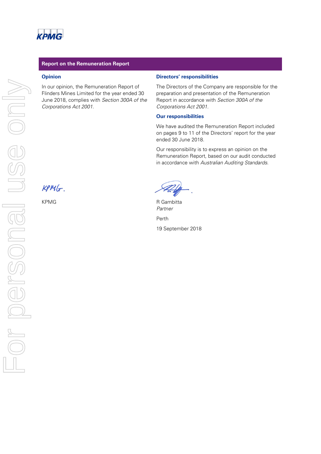# **Report on the Remuneration Report**

## **Opinion**

In our opinion, the Remuneration Report of Flinders Mines Limited for the year ended 30 June 2018, complies with Section 300A of the Corporations Act 2001.

#### **Directors' responsibilities**

The Directors of the Company are responsible for the preparation and presentation of the Remuneration Report in accordance with Section 300A of the Corporations Act 2001.

#### **Our responsibilities**

We have audited the Remuneration Report included on pages 9 to 11 of the Directors' report for the year ended 30 June 2018.

Our responsibility is to express an opinion on the Remuneration Report, based on our audit conducted in accordance with Australian Auditing Standards.

 $KPMG$ 

KPMG R Gambitta Partner Perth 19 September 2018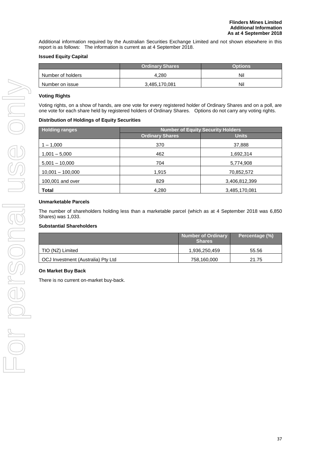Additional information required by the Australian Securities Exchange Limited and not shown elsewhere in this report is as follows: The information is current as at 4 September 2018.

# **Issued Equity Capital**

|                   | <b>Ordinary Shares</b> | Options |
|-------------------|------------------------|---------|
| Number of holders | 4.280                  | Nil     |
| Number on issue   | 3,485,170,081          | Nil     |

# **Voting Rights**

Voting rights, on a show of hands, are one vote for every registered holder of Ordinary Shares and on a poll, are one vote for each share held by registered holders of Ordinary Shares. Options do not carry any voting rights.

## **Distribution of Holdings of Equity Securities**

| <b>Holding ranges</b> | <b>Number of Equity Security Holders</b> |               |  |  |
|-----------------------|------------------------------------------|---------------|--|--|
|                       | <b>Ordinary Shares</b>                   | <b>Units</b>  |  |  |
| $1 - 1,000$           | 370                                      | 37,888        |  |  |
| $1,001 - 5,000$       | 462                                      | 1,692,314     |  |  |
| $5,001 - 10,000$      | 704                                      | 5,774,908     |  |  |
| $10,001 - 100,000$    | 1,915                                    | 70,852,572    |  |  |
| 100,001 and over      | 829                                      | 3,406,812,399 |  |  |
| Total                 | 4,280                                    | 3,485,170,081 |  |  |

# **Unmarketable Parcels**

The number of shareholders holding less than a marketable parcel (which as at 4 September 2018 was 6,850 Shares) was 1,033.

# **Substantial Shareholders**

|                                    | <b>Number of Ordinary</b><br>Shares | Percentage (%) |
|------------------------------------|-------------------------------------|----------------|
| TIO (NZ) Limited                   | 1,936,250,459                       | 55.56          |
| OCJ Investment (Australia) Pty Ltd | 758,160,000                         | 21.75          |

# **On Market Buy Back**

There is no current on-market buy-back.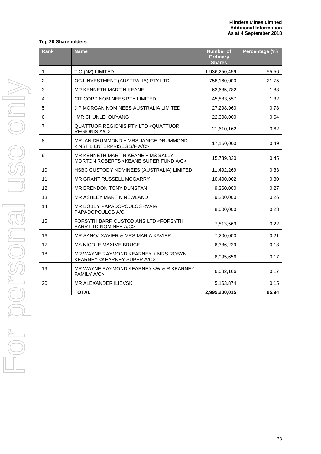# **Top 20 Shareholders**

| Rank           | <b>Name</b>                                                                                       | <b>Number of</b><br><b>Ordinary</b><br><b>Shares</b> | Percentage (%) |
|----------------|---------------------------------------------------------------------------------------------------|------------------------------------------------------|----------------|
| 1              | TIO (NZ) LIMITED                                                                                  | 1,936,250,459                                        | 55.56          |
| $\overline{2}$ | OCJ INVESTMENT (AUSTRALIA) PTY LTD                                                                | 758,160,000                                          | 21.75          |
| 3              | MR KENNETH MARTIN KEANE                                                                           | 63,635,782                                           | 1.83           |
| 4              | CITICORP NOMINEES PTY LIMITED                                                                     | 45,883,557                                           | 1.32           |
| 5              | J P MORGAN NOMINEES AUSTRALIA LIMITED                                                             | 27,298,960                                           | 0.78           |
| 6              | <b>MR CHUNLEI OUYANG</b>                                                                          | 22,308,000                                           | 0.64           |
| $\overline{7}$ | QUATTUOR REGIONIS PTY LTD <quattuor<br><b>REGIONIS A/C&gt;</b></quattuor<br>                      | 21,610,162                                           | 0.62           |
| 8              | MR IAN DRUMMOND + MRS JANICE DRUMMOND<br><instil a="" c="" enterprises="" f="" s=""></instil>     | 17,150,000                                           | 0.49           |
| 9              | MR KENNETH MARTIN KEANE + MS SALLY<br>MORTON ROBERTS < KEANE SUPER FUND A/C>                      | 15,739,330                                           | 0.45           |
| 10             | HSBC CUSTODY NOMINEES (AUSTRALIA) LIMITED                                                         | 11,492,269                                           | 0.33           |
| 11             | MR GRANT RUSSELL MCGARRY                                                                          | 10,400,002                                           | 0.30           |
| 12             | MR BRENDON TONY DUNSTAN                                                                           | 9,360,000                                            | 0.27           |
| 13             | MR ASHLEY MARTIN NEWLAND                                                                          | 9,200,000                                            | 0.26           |
| 14             | MR BOBBY PAPADOPOULOS <vaia<br>PAPADOPOULOS A/C</vaia<br>                                         | 8,000,000                                            | 0.23           |
| 15             | <b>FORSYTH BARR CUSTODIANS LTD <forsyth< b=""><br/><b>BARR LTD-NOMINEE A/C&gt;</b></forsyth<></b> | 7,813,569                                            | 0.22           |
| 16             | MR SANOJ XAVIER & MRS MARIA XAVIER                                                                | 7,200,000                                            | 0.21           |
| 17             | MS NICOLE MAXIME BRUCE                                                                            | 6,336,229                                            | 0.18           |
| 18             | MR WAYNE RAYMOND KEARNEY + MRS ROBYN<br>KEARNEY < KEARNEY SUPER A/C>                              | 6,095,656                                            | 0.17           |
| 19             | MR WAYNE RAYMOND KEARNEY <w &="" kearney<br="" r=""><b>FAMILY A/C&gt;</b></w>                     | 6,082,166                                            | 0.17           |
| 20             | MR ALEXANDER ILIEVSKI                                                                             | 5,163,874                                            | 0.15           |
|                | <b>TOTAL</b>                                                                                      | 2,995,200,015                                        | 85.94          |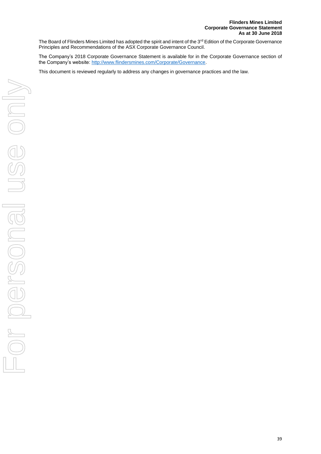The Board of Flinders Mines Limited has adopted the spirit and intent of the 3<sup>rd</sup> Edition of the Corporate Governance Principles and Recommendations of the ASX Corporate Governance Council.

The Company's 2018 Corporate Governance Statement is available for in the Corporate Governance section of the Company's website: [http://www.flindersmines.com/Corporate/Governance.](http://www.flindersmines.com/Corporate/Governance)

This document is reviewed regularly to address any changes in governance practices and the law.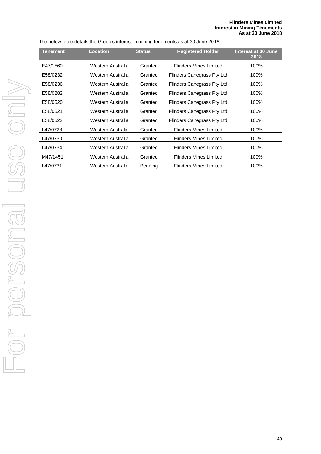The below table details the Group's interest in mining tenements as at 30 June 2018.

| <b>Tenement</b> | <b>Location</b>   | <b>Status</b> | <b>Registered Holder</b>      | Interest at 30 June<br>2018 |
|-----------------|-------------------|---------------|-------------------------------|-----------------------------|
| E47/1560        | Western Australia | Granted       | <b>Flinders Mines Limited</b> | 100%                        |
| E58/0232        | Western Australia | Granted       | Flinders Canegrass Pty Ltd    | 100%                        |
| E58/0236        | Western Australia | Granted       | Flinders Canegrass Pty Ltd    | 100%                        |
| E58/0282        | Western Australia | Granted       | Flinders Canegrass Pty Ltd    | 100%                        |
| E58/0520        | Western Australia | Granted       | Flinders Canegrass Pty Ltd    | 100%                        |
| E58/0521        | Western Australia | Granted       | Flinders Canegrass Pty Ltd    | 100%                        |
| E58/0522        | Western Australia | Granted       | Flinders Canegrass Pty Ltd    | 100%                        |
| L47/0728        | Western Australia | Granted       | <b>Flinders Mines Limited</b> | 100%                        |
| L47/0730        | Western Australia | Granted       | Flinders Mines Limited        | 100%                        |
| L47/0734        | Western Australia | Granted       | <b>Flinders Mines Limited</b> | 100%                        |
| M47/1451        | Western Australia | Granted       | <b>Flinders Mines Limited</b> | 100%                        |
| L47/0731        | Western Australia | Pending       | <b>Flinders Mines Limited</b> | 100%                        |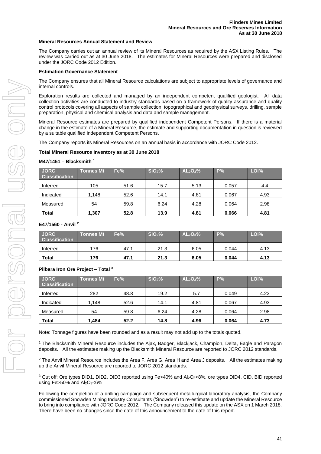#### **Mineral Resources Annual Statement and Review**

The Company carries out an annual review of its Mineral Resources as required by the ASX Listing Rules. The review was carried out as at 30 June 2018. The estimates for Mineral Resources were prepared and disclosed under the JORC Code 2012 Edition.

#### **Estimation Governance Statement**

The Company ensures that all Mineral Resource calculations are subject to appropriate levels of governance and internal controls.

Exploration results are collected and managed by an independent competent qualified geologist. All data collection activities are conducted to industry standards based on a framework of quality assurance and quality control protocols covering all aspects of sample collection, topographical and geophysical surveys, drilling, sample preparation, physical and chemical analysis and data and sample management.

Mineral Resource estimates are prepared by qualified independent Competent Persons. If there is a material change in the estimate of a Mineral Resource, the estimate and supporting documentation in question is reviewed by a suitable qualified independent Competent Persons.

The Company reports its Mineral Resources on an annual basis in accordance with JORC Code 2012.

#### **Total Mineral Resource Inventory as at 30 June 2018**

#### **M47/1451 – Blacksmith <sup>1</sup>**

| <b>JORC</b><br><b>Classification</b> | Tonnes Mt | Fe%  | SiO <sub>2</sub> % | AL <sub>2</sub> O <sub>3</sub> % | P%    | LOI <sub>%</sub> |
|--------------------------------------|-----------|------|--------------------|----------------------------------|-------|------------------|
| Inferred                             | 105       | 51.6 | 15.7               | 5.13                             | 0.057 | 4.4              |
| Indicated                            | 1,148     | 52.6 | 14.1               | 4.81                             | 0.067 | 4.93             |
| Measured                             | 54        | 59.8 | 6.24               | 4.28                             | 0.064 | 2.98             |
| <b>Total</b>                         | 1.307     | 52.8 | 13.9               | 4.81                             | 0.066 | 4.81             |

#### **E47/1560 - Anvil <sup>2</sup>**

| <b>JORC</b><br><b>Classification</b> | <b>Tonnes Mt</b> | Fe%  | SiO <sub>2</sub> % | AL <sub>2</sub> O <sub>3</sub> % | P%    | LOI% |
|--------------------------------------|------------------|------|--------------------|----------------------------------|-------|------|
| Inferred                             | 176              | 47.1 | 21.3               | 6.05                             | 0.044 | 4.13 |
| <b>Total</b>                         | 176              | 47.1 | 21.3               | 6.05                             | 0.044 | 4.13 |

#### **Pilbara Iron Ore Project – Total <sup>3</sup>**

| <b>JORC</b><br><b>Classification</b> | <b>Tonnes Mt</b> | Fe%  | SiO <sub>2</sub> % | AL <sub>2</sub> O <sub>3</sub> % | P%    | LOI% |
|--------------------------------------|------------------|------|--------------------|----------------------------------|-------|------|
| Inferred                             | 282              | 48.8 | 19.2               | 5.7                              | 0.049 | 4.23 |
| Indicated                            | 1,148            | 52.6 | 14.1               | 4.81                             | 0.067 | 4.93 |
| Measured                             | 54               | 59.8 | 6.24               | 4.28                             | 0.064 | 2.98 |
| <b>Total</b>                         | .484             | 52.2 | 14.8               | 4.96                             | 0.064 | 4.73 |

Note: Tonnage figures have been rounded and as a result may not add up to the totals quoted.

<sup>1</sup> The Blacksmith Mineral Resource includes the Ajax, Badger, Blackjack, Champion, Delta, Eagle and Paragon deposits. All the estimates making up the Blacksmith Mineral Resource are reported to JORC 2012 standards.

<sup>2</sup> The Anvil Mineral Resource includes the Area F, Area G, Area H and Area J deposits. All the estimates making up the Anvil Mineral Resource are reported to JORC 2012 standards.

<sup>3</sup> Cut off: Ore types DID1, DID2, DID3 reported using Fe>40% and Al<sub>2</sub>O<sub>3</sub><8%, ore types DID4, CID, BID reported using Fe $>50\%$  and Al<sub>2</sub>O<sub>3</sub><6%

Following the completion of a drilling campaign and subsequent metallurgical laboratory analysis, the Company commissioned Snowden Mining Industry Consultants ('Snowden') to re-estimate and update the Mineral Resource to bring into compliance with JORC Code 2012. The Company released this update on the ASX on 1 March 2018. There have been no changes since the date of this announcement to the date of this report.